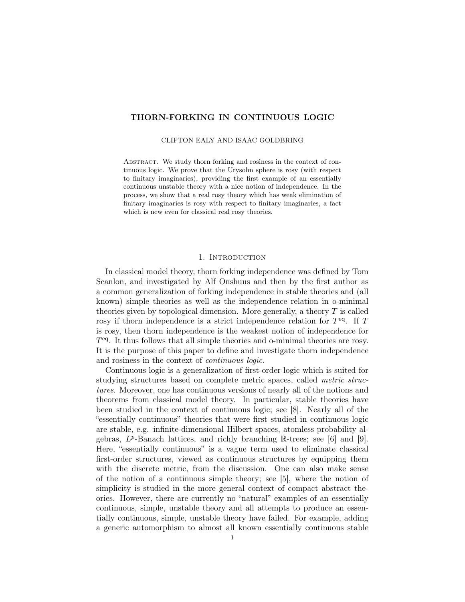## THORN-FORKING IN CONTINUOUS LOGIC

#### CLIFTON EALY AND ISAAC GOLDBRING

ABSTRACT. We study thorn forking and rosiness in the context of continuous logic. We prove that the Urysohn sphere is rosy (with respect to finitary imaginaries), providing the first example of an essentially continuous unstable theory with a nice notion of independence. In the process, we show that a real rosy theory which has weak elimination of finitary imaginaries is rosy with respect to finitary imaginaries, a fact which is new even for classical real rosy theories.

## 1. INTRODUCTION

In classical model theory, thorn forking independence was defined by Tom Scanlon, and investigated by Alf Onshuus and then by the first author as a common generalization of forking independence in stable theories and (all known) simple theories as well as the independence relation in o-minimal theories given by topological dimension. More generally, a theory  $T$  is called rosy if thorn independence is a strict independence relation for  $T<sup>eq</sup>$ . If T is rosy, then thorn independence is the weakest notion of independence for  $T<sup>eq</sup>$ . It thus follows that all simple theories and o-minimal theories are rosy. It is the purpose of this paper to define and investigate thorn independence and rosiness in the context of continuous logic.

Continuous logic is a generalization of first-order logic which is suited for studying structures based on complete metric spaces, called *metric struc*tures. Moreover, one has continuous versions of nearly all of the notions and theorems from classical model theory. In particular, stable theories have been studied in the context of continuous logic; see [8]. Nearly all of the "essentially continuous" theories that were first studied in continuous logic are stable, e.g. infinite-dimensional Hilbert spaces, atomless probability algebras,  $L^p$ -Banach lattices, and richly branching  $\mathbb R$ -trees; see [6] and [9]. Here, "essentially continuous" is a vague term used to eliminate classical first-order structures, viewed as continuous structures by equipping them with the discrete metric, from the discussion. One can also make sense of the notion of a continuous simple theory; see [5], where the notion of simplicity is studied in the more general context of compact abstract theories. However, there are currently no "natural" examples of an essentially continuous, simple, unstable theory and all attempts to produce an essentially continuous, simple, unstable theory have failed. For example, adding a generic automorphism to almost all known essentially continuous stable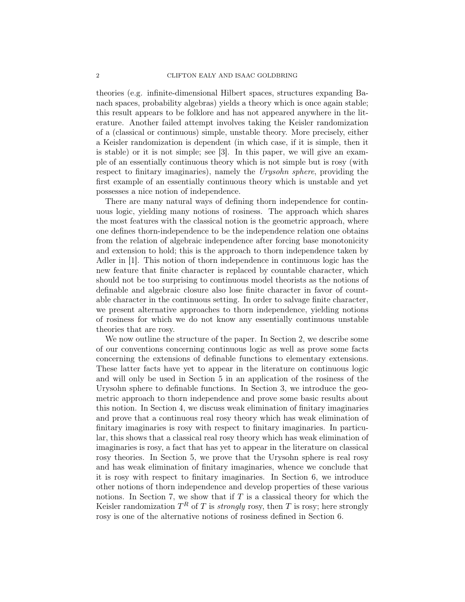theories (e.g. infinite-dimensional Hilbert spaces, structures expanding Banach spaces, probability algebras) yields a theory which is once again stable; this result appears to be folklore and has not appeared anywhere in the literature. Another failed attempt involves taking the Keisler randomization of a (classical or continuous) simple, unstable theory. More precisely, either a Keisler randomization is dependent (in which case, if it is simple, then it is stable) or it is not simple; see [3]. In this paper, we will give an example of an essentially continuous theory which is not simple but is rosy (with respect to finitary imaginaries), namely the *Urysohn sphere*, providing the first example of an essentially continuous theory which is unstable and yet possesses a nice notion of independence.

There are many natural ways of defining thorn independence for continuous logic, yielding many notions of rosiness. The approach which shares the most features with the classical notion is the geometric approach, where one defines thorn-independence to be the independence relation one obtains from the relation of algebraic independence after forcing base monotonicity and extension to hold; this is the approach to thorn independence taken by Adler in [1]. This notion of thorn independence in continuous logic has the new feature that finite character is replaced by countable character, which should not be too surprising to continuous model theorists as the notions of definable and algebraic closure also lose finite character in favor of countable character in the continuous setting. In order to salvage finite character, we present alternative approaches to thorn independence, yielding notions of rosiness for which we do not know any essentially continuous unstable theories that are rosy.

We now outline the structure of the paper. In Section 2, we describe some of our conventions concerning continuous logic as well as prove some facts concerning the extensions of definable functions to elementary extensions. These latter facts have yet to appear in the literature on continuous logic and will only be used in Section 5 in an application of the rosiness of the Urysohn sphere to definable functions. In Section 3, we introduce the geometric approach to thorn independence and prove some basic results about this notion. In Section 4, we discuss weak elimination of finitary imaginaries and prove that a continuous real rosy theory which has weak elimination of finitary imaginaries is rosy with respect to finitary imaginaries. In particular, this shows that a classical real rosy theory which has weak elimination of imaginaries is rosy, a fact that has yet to appear in the literature on classical rosy theories. In Section 5, we prove that the Urysohn sphere is real rosy and has weak elimination of finitary imaginaries, whence we conclude that it is rosy with respect to finitary imaginaries. In Section 6, we introduce other notions of thorn independence and develop properties of these various notions. In Section 7, we show that if  $T$  is a classical theory for which the Keisler randomization  $T^R$  of T is *strongly* rosy, then T is rosy; here strongly rosy is one of the alternative notions of rosiness defined in Section 6.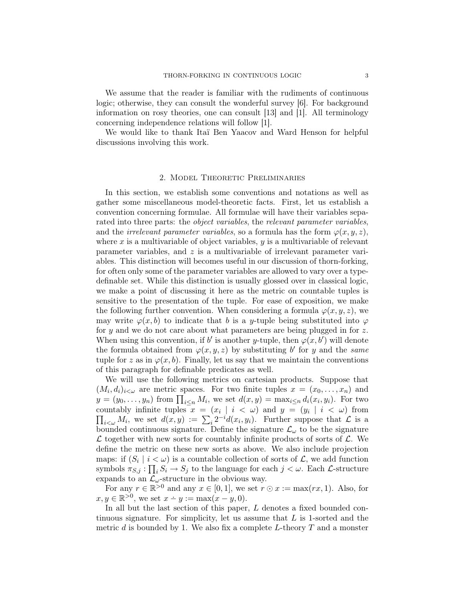We assume that the reader is familiar with the rudiments of continuous logic; otherwise, they can consult the wonderful survey [6]. For background information on rosy theories, one can consult [13] and [1]. All terminology concerning independence relations will follow [1].

We would like to thank Itaï Ben Yaacov and Ward Henson for helpful discussions involving this work.

### 2. Model Theoretic Preliminaries

In this section, we establish some conventions and notations as well as gather some miscellaneous model-theoretic facts. First, let us establish a convention concerning formulae. All formulae will have their variables separated into three parts: the *object variables*, the *relevant parameter variables*, and the *irrelevant parameter variables*, so a formula has the form  $\varphi(x, y, z)$ , where  $x$  is a multivariable of object variables,  $y$  is a multivariable of relevant parameter variables, and  $z$  is a multivariable of irrelevant parameter variables. This distinction will becomes useful in our discussion of thorn-forking, for often only some of the parameter variables are allowed to vary over a typedefinable set. While this distinction is usually glossed over in classical logic, we make a point of discussing it here as the metric on countable tuples is sensitive to the presentation of the tuple. For ease of exposition, we make the following further convention. When considering a formula  $\varphi(x, y, z)$ , we may write  $\varphi(x, b)$  to indicate that b is a y-tuple being substituted into  $\varphi$ for y and we do not care about what parameters are being plugged in for  $z$ . When using this convention, if b' is another y-tuple, then  $\varphi(x, b')$  will denote the formula obtained from  $\varphi(x, y, z)$  by substituting b for y and the same tuple for z as in  $\varphi(x, b)$ . Finally, let us say that we maintain the conventions of this paragraph for definable predicates as well.

We will use the following metrics on cartesian products. Suppose that  $(M_i, d_i)_{i < \omega}$  are metric spaces. For two finite tuples  $x = (x_0, \ldots, x_n)$  and  $y = (y_0, \ldots, y_n)$  from  $\prod_{i \leq n} M_i$ , we set  $d(x, y) = \max_{i \leq n} d_i(x_i, y_i)$ . For two countably infinite tuples  $x = (x_i \mid i < \omega)$  and  $y = (y_i \mid i < \omega)$  from  $\prod_{i<\omega}M_i$ , we set  $d(x,y) := \sum_i 2^{-i}d(x_i,y_i)$ . Further suppose that  $\mathcal L$  is a bounded continuous signature. Define the signature  $\mathcal{L}_{\omega}$  to be the signature  $\mathcal L$  together with new sorts for countably infinite products of sorts of  $\mathcal L$ . We define the metric on these new sorts as above. We also include projection maps: if  $(S_i \mid i < \omega)$  is a countable collection of sorts of  $\mathcal{L}$ , we add function symbols  $\pi_{S,j} : \prod_i S_i \to S_j$  to the language for each  $j < \omega$ . Each  $\mathcal{L}$ -structure expands to an  $\mathcal{L}_{\omega}$ -structure in the obvious way.

For any  $r \in \mathbb{R}^{>0}$  and any  $x \in [0,1]$ , we set  $r \odot x := \max(rx,1)$ . Also, for  $x, y \in \mathbb{R} > 0$ , we set  $x - y := \max(x - y, 0)$ .

In all but the last section of this paper, L denotes a fixed bounded continuous signature. For simplicity, let us assume that  $L$  is 1-sorted and the metric  $d$  is bounded by 1. We also fix a complete L-theory  $T$  and a monster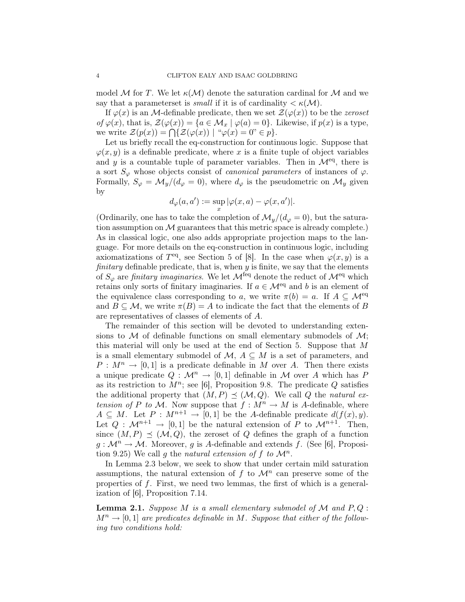model M for T. We let  $\kappa(\mathcal{M})$  denote the saturation cardinal for M and we say that a parameters is small if it is of cardinality  $\langle \kappa(M) \rangle$ .

If  $\varphi(x)$  is an M-definable predicate, then we set  $\mathcal{Z}(\varphi(x))$  to be the *zeroset* of  $\varphi(x)$ , that is,  $\mathcal{Z}(\varphi(x)) = \{a \in \mathcal{M}_x \mid \varphi(a) = 0\}$ . Likewise, if  $p(x)$  is a type, we write  $\mathcal{Z}(p(x)) = \bigcap \{ \mathcal{Z}(\varphi(x)) \mid \text{``}\varphi(x) = 0\text{''} \in p \}.$ 

Let us briefly recall the eq-construction for continuous logic. Suppose that  $\varphi(x, y)$  is a definable predicate, where x is a finite tuple of object variables and y is a countable tuple of parameter variables. Then in  $\mathcal{M}^{\text{eq}}$ , there is a sort  $S_{\varphi}$  whose objects consist of *canonical parameters* of instances of  $\varphi$ . Formally,  $S_{\varphi} = \mathcal{M}_{y}/(d_{\varphi} = 0)$ , where  $d_{\varphi}$  is the pseudometric on  $\mathcal{M}_{y}$  given by

$$
d_\varphi(a,a'):=\sup_x|\varphi(x,a)-\varphi(x,a')|.
$$

(Ordinarily, one has to take the completion of  $\mathcal{M}_y/(d_\varphi = 0)$ , but the saturation assumption on  $M$  guarantees that this metric space is already complete.) As in classical logic, one also adds appropriate projection maps to the language. For more details on the eq-construction in continuous logic, including axiomatizations of  $T<sup>eq</sup>$ , see Section 5 of [8]. In the case when  $\varphi(x, y)$  is a finitary definable predicate, that is, when  $y$  is finite, we say that the elements of  $S_{\varphi}$  are finitary imaginaries. We let  $\mathcal{M}^{\text{feq}}$  denote the reduct of  $\mathcal{M}^{\text{eq}}$  which retains only sorts of finitary imaginaries. If  $a \in \mathcal{M}^{\text{eq}}$  and b is an element of the equivalence class corresponding to a, we write  $\pi(b) = a$ . If  $A \subseteq \mathcal{M}^{\text{eq}}$ and  $B \subseteq \mathcal{M}$ , we write  $\pi(B) = A$  to indicate the fact that the elements of B are representatives of classes of elements of A.

The remainder of this section will be devoted to understanding extensions to  $\mathcal M$  of definable functions on small elementary submodels of  $\mathcal M$ ; this material will only be used at the end of Section 5. Suppose that M is a small elementary submodel of  $\mathcal{M}, A \subseteq M$  is a set of parameters, and  $P: M^n \to [0, 1]$  is a predicate definable in M over A. Then there exists a unique predicate  $Q : \mathcal{M}^n \to [0,1]$  definable in M over A which has P as its restriction to  $M^n$ ; see [6], Proposition 9.8. The predicate Q satisfies the additional property that  $(M, P) \preceq (M, Q)$ . We call Q the natural extension of P to M. Now suppose that  $f : M^n \to M$  is A-definable, where  $A \subseteq M$ . Let  $P : M^{n+1} \to [0,1]$  be the A-definable predicate  $d(f(x), y)$ . Let  $Q : \mathcal{M}^{n+1} \to [0,1]$  be the natural extension of P to  $\mathcal{M}^{n+1}$ . Then, since  $(M, P) \preceq (M, Q)$ , the zeroset of Q defines the graph of a function  $g: \mathcal{M}^n \to \mathcal{M}$ . Moreover, g is A-definable and extends f. (See [6], Proposition 9.25) We call g the natural extension of f to  $\mathcal{M}^n$ .

In Lemma 2.3 below, we seek to show that under certain mild saturation assumptions, the natural extension of  $f$  to  $\mathcal{M}^n$  can preserve some of the properties of  $f$ . First, we need two lemmas, the first of which is a generalization of [6], Proposition 7.14.

**Lemma 2.1.** Suppose M is a small elementary submodel of  $M$  and  $P, Q$ :  $M^n \to [0, 1]$  are predicates definable in M. Suppose that either of the following two conditions hold: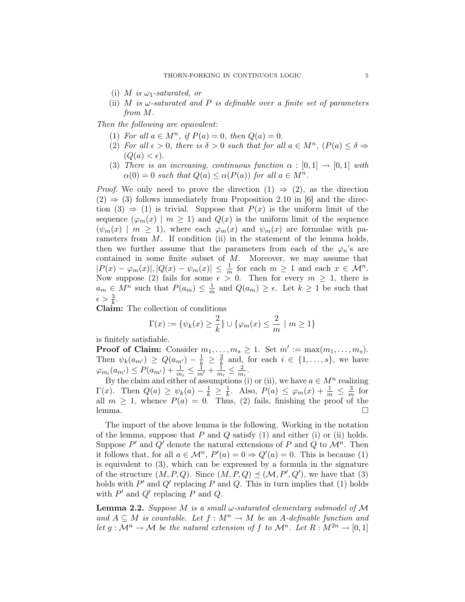- (i) M is  $\omega_1$ -saturated, or
- (ii) M is  $\omega$ -saturated and P is definable over a finite set of parameters from M.

Then the following are equivalent:

- (1) For all  $a \in M^n$ , if  $P(a) = 0$ , then  $Q(a) = 0$ .
- (2) For all  $\epsilon > 0$ , there is  $\delta > 0$  such that for all  $a \in M^n$ ,  $(P(a) \leq \delta \Rightarrow$  $(Q(a) < \epsilon).$
- (3) There is an increasing, continuous function  $\alpha : [0,1] \rightarrow [0,1]$  with  $\alpha(0) = 0$  such that  $Q(a) \leq \alpha(P(a))$  for all  $a \in M^n$ .

*Proof.* We only need to prove the direction  $(1) \Rightarrow (2)$ , as the direction  $(2) \Rightarrow (3)$  follows immediately from Proposition 2.10 in [6] and the direction  $(3) \Rightarrow (1)$  is trivial. Suppose that  $P(x)$  is the uniform limit of the sequence  $(\varphi_m(x) \mid m \ge 1)$  and  $Q(x)$  is the uniform limit of the sequence  $(\psi_m(x) \mid m \ge 1)$ , where each  $\varphi_m(x)$  and  $\psi_m(x)$  are formulae with parameters from  $M$ . If condition (ii) in the statement of the lemma holds, then we further assume that the parameters from each of the  $\varphi_n$ 's are contained in some finite subset of  $M$ . Moreover, we may assume that  $|P(x) - \varphi_m(x)|, |Q(x) - \psi_m(x)| \leq \frac{1}{m}$  for each  $m \geq 1$  and each  $x \in \mathcal{M}^n$ . Now suppose (2) fails for some  $\epsilon > 0$ . Then for every  $m \ge 1$ , there is  $a_m \in M^n$  such that  $P(a_m) \leq \frac{1}{m}$  $\frac{1}{m}$  and  $Q(a_m) \geq \epsilon$ . Let  $k \geq 1$  be such that  $\epsilon > \frac{3}{k}.$ 

Claim: The collection of conditions

$$
\Gamma(x):=\{\psi_k(x)\geq \frac{2}{k}\}\cup\{\varphi_m(x)\leq \frac{2}{m}\ |\ m\geq 1\}
$$

is finitely satisfiable.

**Proof of Claim:** Consider  $m_1, \ldots, m_s \geq 1$ . Set  $m' := \max(m_1, \ldots, m_s)$ . Then  $\psi_k(a_{m'}) \geq Q(a_{m'}) - \frac{1}{k} \geq \frac{2}{k}$  $\frac{2}{k}$  and, for each  $i \in \{1, \ldots, s\}$ , we have  $\varphi_{m_i}(a_{m'}) \leq P(a_{m'}) + \frac{1}{m_i} \leq \frac{1}{m'} + \frac{1}{m}$  $\frac{1}{m_i} \leq \frac{2}{m}$  $\frac{2}{m_i}$ .

By the claim and either of assumptions (i) or (ii), we have  $a \in M^n$  realizing  $\Gamma(x)$ . Then  $Q(a) \geq \psi_k(a) - \frac{1}{k} \geq \frac{1}{k}$  $\frac{1}{k}$ . Also,  $P(a) \leq \varphi_m(x) + \frac{1}{m} \leq \frac{3}{m}$  $\frac{3}{m}$  for all  $m \geq 1$ , whence  $P(a) = 0$ . Thus, (2) fails, finishing the proof of the lemma. □

The import of the above lemma is the following. Working in the notation of the lemma, suppose that  $P$  and  $Q$  satisfy (1) and either (i) or (ii) holds. Suppose  $P'$  and  $Q'$  denote the natural extensions of P and Q to  $\mathcal{M}^n$ . Then it follows that, for all  $a \in \mathcal{M}^n$ ,  $P'(a) = 0 \Rightarrow Q'(a) = 0$ . This is because (1) is equivalent to (3), which can be expressed by a formula in the signature of the structure  $(M, P, Q)$ . Since  $(M, P, Q) \preceq (M, P', Q')$ , we have that (3) holds with  $P'$  and  $Q'$  replacing P and Q. This in turn implies that (1) holds with  $P'$  and  $Q'$  replacing P and Q.

**Lemma 2.2.** Suppose M is a small  $\omega$ -saturated elementary submodel of M and  $A \subseteq M$  is countable. Let  $f : M^n \to M$  be an A-definable function and let  $g: \mathcal{M}^n \to \mathcal{M}$  be the natural extension of f to  $\mathcal{M}^n$ . Let  $R: M^{2n} \to [0,1]$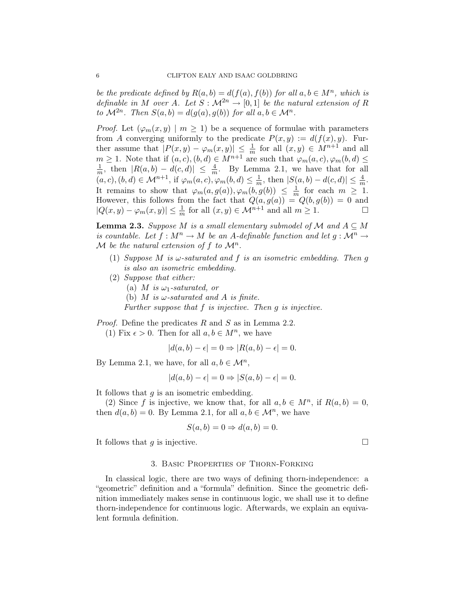be the predicate defined by  $R(a, b) = d(f(a), f(b))$  for all  $a, b \in M<sup>n</sup>$ , which is definable in M over A. Let  $S : \mathcal{M}^{2n} \to [0,1]$  be the natural extension of R to  $\mathcal{M}^{2n}$ . Then  $S(a, b) = d(g(a), g(b))$  for all  $a, b \in \mathcal{M}^{n}$ .

*Proof.* Let  $(\varphi_m(x, y) \mid m \ge 1)$  be a sequence of formulae with parameters from A converging uniformly to the predicate  $P(x, y) := d(f(x), y)$ . Further assume that  $|P(x,y) - \varphi_m(x,y)| \leq \frac{1}{m}$  for all  $(x,y) \in M^{n+1}$  and all  $m \geq 1$ . Note that if  $(a, c), (b, d) \in M^{n+1}$  are such that  $\varphi_m(a, c), \varphi_m(b, d) \leq$ 1  $\frac{1}{m}$ , then  $|R(a, b) - d(c, d)| \leq \frac{4}{m}$ . By Lemma 2.1, we have that for all  $(a, c), (b, d) \in \mathcal{M}^{n+1}$ , if  $\varphi_m(a, c), \varphi_m(b, d) \leq \frac{1}{m}$  $\frac{1}{m}$ , then  $|S(a, b) - d(c, d)| \leq \frac{4}{m}$ . It remains to show that  $\varphi_m(a,g(a)), \varphi_m(b,g(b)) \leq \frac{1}{m}$  $\frac{1}{m}$  for each  $m \geq 1$ . However, this follows from the fact that  $Q(a, g(a)) = Q(b, g(b)) = 0$  and  $|Q(x,y) - \varphi_m(x,y)| \leq \frac{1}{m}$  for all  $(x,y) \in \mathcal{M}^{n+1}$  and all  $m \geq 1$ .

**Lemma 2.3.** Suppose M is a small elementary submodel of M and  $A \subseteq M$ is countable. Let  $f : M^n \to M$  be an A-definable function and let  $g : M^n \to M$ M be the natural extension of f to  $\mathcal{M}^n$ .

- (1) Suppose M is  $\omega$ -saturated and f is an isometric embedding. Then g is also an isometric embedding.
- (2) Suppose that either:
	- (a) M is  $\omega_1$ -saturated, or
	- (b) M is  $\omega$ -saturated and A is finite.
	- Further suppose that f is injective. Then g is injective.

*Proof.* Define the predicates R and S as in Lemma 2.2.

(1) Fix  $\epsilon > 0$ . Then for all  $a, b \in M^n$ , we have

$$
|d(a,b) - \epsilon| = 0 \Rightarrow |R(a,b) - \epsilon| = 0.
$$

By Lemma 2.1, we have, for all  $a, b \in \mathcal{M}^n$ ,

$$
|d(a,b) - \epsilon| = 0 \Rightarrow |S(a,b) - \epsilon| = 0.
$$

It follows that  $g$  is an isometric embedding.

(2) Since f is injective, we know that, for all  $a, b \in M^n$ , if  $R(a, b) = 0$ , then  $d(a, b) = 0$ . By Lemma 2.1, for all  $a, b \in \mathcal{M}^n$ , we have

$$
S(a, b) = 0 \Rightarrow d(a, b) = 0.
$$

It follows that  $g$  is injective.

## 3. Basic Properties of Thorn-Forking

In classical logic, there are two ways of defining thorn-independence: a "geometric" definition and a "formula" definition. Since the geometric definition immediately makes sense in continuous logic, we shall use it to define thorn-independence for continuous logic. Afterwards, we explain an equivalent formula definition.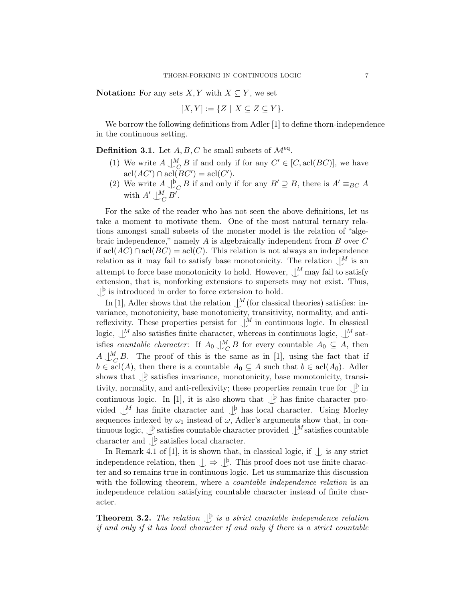Notation: For any sets  $X, Y$  with  $X \subseteq Y$ , we set

$$
[X,Y] := \{ Z \mid X \subseteq Z \subseteq Y \}.
$$

We borrow the following definitions from Adler [1] to define thorn-independence in the continuous setting.

**Definition 3.1.** Let  $A, B, C$  be small subsets of  $\mathcal{M}^{\text{eq}}$ .

- (1) We write  $A \perp^M_C B$  if and only if for any  $C' \in [C, \operatorname{acl}(BC)]$ , we have  $\operatorname{acl}(AC') \cap \operatorname{acl}(BC') = \operatorname{acl}(C').$
- (2) We write  $A \bigcup_{C}^{b} B$  if and only if for any  $B' \supseteq B$ , there is  $A' \equiv_{BC} A$ with  $A' \downarrow_C^M B'$ .

For the sake of the reader who has not seen the above definitions, let us take a moment to motivate them. One of the most natural ternary relations amongst small subsets of the monster model is the relation of "algebraic independence," namely  $A$  is algebraically independent from  $B$  over  $C$ if  $\operatorname{acl}(AC) \cap \operatorname{acl}(BC) = \operatorname{acl}(C)$ . This relation is not always an independence relation as it may fail to satisfy base monotonicity. The relation  $\bigcup^M$  is an attempt to force base monotonicity to hold. However,  $\bigcup^M$  may fail to satisfy extension, that is, nonforking extensions to supersets may not exist. Thus,  $\bigcup^{\mathsf{b}}$  is introduced in order to force extension to hold.

In [1], Adler shows that the relation  $\bigcup^M$  (for classical theories) satisfies: invariance, monotonicity, base monotonicity, transitivity, normality, and antireflexivity. These properties persist for  $\bigcup^M$  in continuous logic. In classical logic,  $\bigcup^M$  also satisfies finite character, whereas in continuous logic,  $\bigcup^M$  satisfies *countable character*: If  $A_0 \bigcup_{C}^{M} B$  for every countable  $A_0 \subseteq A$ , then  $A \bigcup_{C}^{M} B$ . The proof of this is the same as in [1], using the fact that if  $b \in \text{acl}(A)$ , then there is a countable  $A_0 \subseteq A$  such that  $b \in \text{acl}(A_0)$ . Adler shows that  $\bigcup_{i=1}^{\infty}$  satisfies invariance, monotonicity, base monotonicity, transitivity, normality, and anti-reflexivity; these properties remain true for  $\bigcup^{\mathsf{b}}$  in continuous logic. In [1], it is also shown that  $\bigcup^b$  has finite character provided  $\bigcup^M$  has finite character and  $\bigcup^b$  has local character. Using Morley sequences indexed by  $\omega_1$  instead of  $\omega$ , Adler's arguments show that, in continuous logic,  $\bigcup_{\alpha=0}^{\infty}$  satisfies countable character provided  $\bigcup_{\alpha=0}^M$  satisfies countable character and  $\bigcup$  satisfies local character.

In Remark 4.1 of [1], it is shown that, in classical logic, if  $\bigcup$  is any strict independence relation, then  $\bigcup \Rightarrow \bigcup$ . This proof does not use finite character and so remains true in continuous logic. Let us summarize this discussion with the following theorem, where a *countable independence relation* is an independence relation satisfying countable character instead of finite character.

**Theorem 3.2.** The relation  $\mathcal{L}$  is a strict countable independence relation if and only if it has local character if and only if there is a strict countable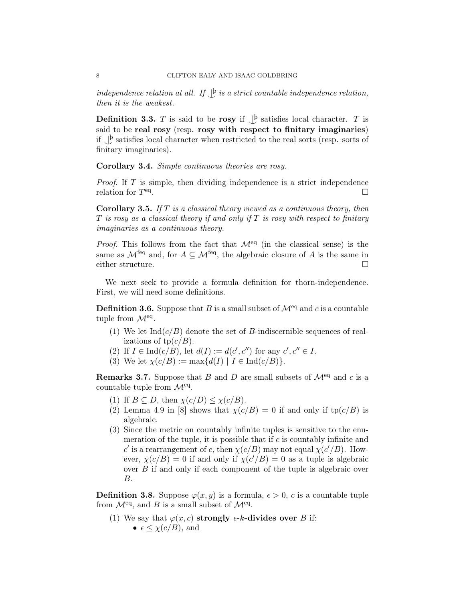independence relation at all. If  $\bigcup^b$  is a strict countable independence relation, then it is the weakest.

**Definition 3.3.** T is said to be rosy if  $\bigcup$  satisfies local character. T is said to be real rosy (resp. rosy with respect to finitary imaginaries) if  $\bigcup_{\alpha}^{\mathbf{b}}$  satisfies local character when restricted to the real sorts (resp. sorts of finitary imaginaries).

Corollary 3.4. Simple continuous theories are rosy.

Proof. If T is simple, then dividing independence is a strict independence relation for  $T<sup>eq</sup>$ .

**Corollary 3.5.** If  $T$  is a classical theory viewed as a continuous theory, then  $T$  is rosy as a classical theory if and only if  $T$  is rosy with respect to finitary imaginaries as a continuous theory.

*Proof.* This follows from the fact that  $\mathcal{M}^{\text{eq}}$  (in the classical sense) is the same as  $\mathcal{M}^{\text{feq}}$  and, for  $A \subseteq \mathcal{M}^{\text{feq}}$ , the algebraic closure of A is the same in either structure.

We next seek to provide a formula definition for thorn-independence. First, we will need some definitions.

**Definition 3.6.** Suppose that B is a small subset of  $\mathcal{M}^{\text{eq}}$  and c is a countable tuple from  $\mathcal{M}^{\text{eq}}$ .

- (1) We let  $\text{Ind}(c/B)$  denote the set of B-indiscernible sequences of realizations of  $tp(c/B)$ .
- (2) If  $I \in \text{Ind}(c/B)$ , let  $d(I) := d(c', c'')$  for any  $c', c'' \in I$ .
- (3) We let  $\chi(c/B) := \max\{d(I) | I \in \text{Ind}(c/B)\}.$

**Remarks 3.7.** Suppose that B and D are small subsets of  $\mathcal{M}^{\text{eq}}$  and c is a countable tuple from  $\mathcal{M}^{\text{eq}}$ .

- (1) If  $B \subseteq D$ , then  $\chi(c/D) \leq \chi(c/B)$ .
- (2) Lemma 4.9 in [8] shows that  $\chi(c/B) = 0$  if and only if  $tp(c/B)$  is algebraic.
- (3) Since the metric on countably infinite tuples is sensitive to the enumeration of the tuple, it is possible that if  $c$  is countably infinite and c' is a rearrangement of c, then  $\chi(c/B)$  may not equal  $\chi(c'/B)$ . However,  $\chi(c/B) = 0$  if and only if  $\chi(c'/B) = 0$  as a tuple is algebraic over  $B$  if and only if each component of the tuple is algebraic over B.

**Definition 3.8.** Suppose  $\varphi(x, y)$  is a formula,  $\epsilon > 0$ , c is a countable tuple from  $\mathcal{M}^{\text{eq}}$ , and B is a small subset of  $\mathcal{M}^{\text{eq}}$ .

- (1) We say that  $\varphi(x, c)$  strongly  $\epsilon$ -*k*-divides over *B* if:
	- $\bullet \epsilon \leq \chi(c/B)$ , and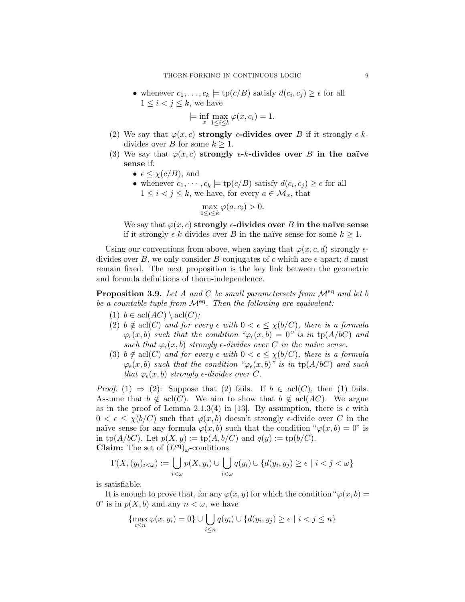• whenever  $c_1, \ldots, c_k \models \text{tp}(c/B)$  satisfy  $d(c_i, c_j) \geq \epsilon$  for all  $1 \leq i < j \leq k$ , we have

$$
\models \inf_{x} \max_{1 \le i \le k} \varphi(x, c_i) = 1.
$$

- (2) We say that  $\varphi(x, c)$  strongly  $\epsilon$ -divides over B if it strongly  $\epsilon$ -kdivides over B for some  $k \geq 1$ .
- (3) We say that  $\varphi(x, c)$  strongly  $\epsilon$ -k-divides over B in the naïve sense if:
	- $\bullet \epsilon \leq \chi(c/B)$ , and
	- whenever  $c_1, \dots, c_k \models \text{tp}(c/B)$  satisfy  $d(c_i, c_j) \geq \epsilon$  for all  $1 \leq i \leq j \leq k$ , we have, for every  $a \in \mathcal{M}_x$ , that

$$
\max_{1 \le i \le k} \varphi(a, c_i) > 0.
$$

We say that  $\varphi(x, c)$  strongly  $\epsilon$ -divides over B in the naïve sense if it strongly  $\epsilon$ -k-divides over B in the naïve sense for some  $k \geq 1$ .

Using our conventions from above, when saying that  $\varphi(x, c, d)$  strongly  $\epsilon$ divides over B, we only consider B-conjugates of c which are  $\epsilon$ -apart; d must remain fixed. The next proposition is the key link between the geometric and formula definitions of thorn-independence.

**Proposition 3.9.** Let A and C be small parametersets from  $\mathcal{M}^{eq}$  and let b be a countable tuple from  $\mathcal{M}^{\text{eq}}$ . Then the following are equivalent:

- (1)  $b \in \operatorname{acl}(AC) \setminus \operatorname{acl}(C);$
- (2)  $b \notin \text{acl}(C)$  and for every  $\epsilon$  with  $0 < \epsilon \leq \chi(b/C)$ , there is a formula  $\varphi_{\epsilon}(x, b)$  such that the condition " $\varphi_{\epsilon}(x, b) = 0$ " is in tp(A/bC) and such that  $\varphi_{\epsilon}(x, b)$  strongly  $\epsilon$ -divides over C in the naïve sense.
- (3)  $b \notin \text{acl}(C)$  and for every  $\epsilon$  with  $0 < \epsilon \leq \chi(b/C)$ , there is a formula  $\varphi_{\epsilon}(x, b)$  such that the condition " $\varphi_{\epsilon}(x, b)$ " is in tp(A/bC) and such that  $\varphi_{\epsilon}(x, b)$  strongly  $\epsilon$ -divides over C.

*Proof.* (1)  $\Rightarrow$  (2): Suppose that (2) fails. If  $b \in \text{acl}(C)$ , then (1) fails. Assume that  $b \notin \text{acl}(C)$ . We aim to show that  $b \notin \text{acl}(AC)$ . We argue as in the proof of Lemma 2.1.3(4) in [13]. By assumption, there is  $\epsilon$  with  $0 < \epsilon < \chi(b/C)$  such that  $\varphi(x, b)$  doesn't strongly  $\epsilon$ -divide over C in the naïve sense for any formula  $\varphi(x, b)$  such that the condition " $\varphi(x, b) = 0$ " is in tp( $A/bC$ ). Let  $p(X, y) := \text{tp}(A, b/C)$  and  $q(y) := \text{tp}(b/C)$ . **Claim:** The set of  $(L<sup>eq</sup>)_{\omega}$ -conditions

$$
\Gamma(X,(y_i)_{i<\omega}) := \bigcup_{i<\omega} p(X,y_i) \cup \bigcup_{i<\omega} q(y_i) \cup \{d(y_i,y_j) \ge \epsilon \mid i
$$

is satisfiable.

It is enough to prove that, for any  $\varphi(x, y)$  for which the condition " $\varphi(x, b)$  = 0" is in  $p(X, b)$  and any  $n < \omega$ , we have

$$
\{\max_{i\leq n}\varphi(x,y_i)=0\}\cup\bigcup_{i\leq n}q(y_i)\cup\{d(y_i,y_j)\geq\epsilon\mid i
$$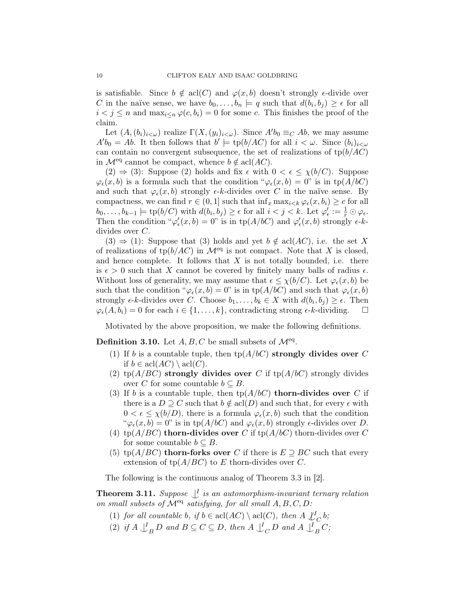is satisfiable. Since  $b \notin \text{acl}(C)$  and  $\varphi(x, b)$  doesn't strongly  $\epsilon$ -divide over C in the naïve sense, we have  $b_0, \ldots, b_n \models q$  such that  $d(b_i, b_j) \geq \epsilon$  for all  $i < j \leq n$  and  $\max_{i \leq n} \varphi(c, b_i) = 0$  for some c. This finishes the proof of the claim.

Let  $(A, (b_i)_{i \leq \omega})$  realize  $\Gamma(X, (y_i)_{i \leq \omega})$ . Since  $A'b_0 \equiv_C Ab$ , we may assume  $A' b_0 = A b$ . It then follows that  $b' \models \text{tp}(b/A C)$  for all  $i < \omega$ . Since  $(b_i)_{i < \omega}$ can contain no convergent subsequence, the set of realizations of  $tp(b/AC)$ in  $\mathcal{M}^{\text{eq}}$  cannot be compact, whence  $b \notin \text{acl}(AC)$ .

 $(2) \Rightarrow (3)$ : Suppose  $(2)$  holds and fix  $\epsilon$  with  $0 < \epsilon \leq \chi(b/C)$ . Suppose  $\varphi_{\epsilon}(x, b)$  is a formula such that the condition " $\varphi_{\epsilon}(x, b) = 0$ " is in tp(A/bC) and such that  $\varphi_{\epsilon}(x, b)$  strongly  $\epsilon$ -k-divides over C in the naïve sense. By compactness, we can find  $r \in (0, 1]$  such that  $\inf_x \max_{i \leq k} \varphi_\epsilon(x, b_i) \geq c$  for all  $b_0, \ldots, b_{k-1} \models \text{tp}(b/C)$  with  $d(b_i, b_j) \geq \epsilon$  for all  $i < j < k$ . Let  $\varphi'_\epsilon := \frac{1}{r} \odot \varphi_\epsilon$ . Then the condition " $\varphi_{\epsilon}'(x, b) = 0$ " is in tp(A/bC) and  $\varphi_{\epsilon}'(x, b)$  strongly  $\epsilon$ -kdivides over C.

 $(3) \Rightarrow (1)$ : Suppose that  $(3)$  holds and yet  $b \notin \text{acl}(AC)$ , i.e. the set X of realizations of  $tp(b/AC)$  in  $\mathcal{M}^{eq}$  is not compact. Note that X is closed, and hence complete. It follows that  $X$  is not totally bounded, i.e. there is  $\epsilon > 0$  such that X cannot be covered by finitely many balls of radius  $\epsilon$ . Without loss of generality, we may assume that  $\epsilon \leq \chi(b/C)$ . Let  $\varphi_{\epsilon}(x, b)$  be such that the condition " $\varphi_{\epsilon}(x, b) = 0$ " is in tp(A/bC) and such that  $\varphi_{\epsilon}(x, b)$ strongly  $\epsilon$ -k-divides over C. Choose  $b_1, \ldots, b_k \in X$  with  $d(b_i, b_j) \geq \epsilon$ . Then  $\varphi_{\epsilon}(A, b_i) = 0$  for each  $i \in \{1, ..., k\}$ , contradicting strong  $\epsilon$ -k-dividing.  $\square$ 

Motivated by the above proposition, we make the following definitions.

**Definition 3.10.** Let  $A, B, C$  be small subsets of  $\mathcal{M}^{\text{eq}}$ .

- (1) If b is a countable tuple, then  $tp(A/bC)$  strongly divides over C if  $b \in \operatorname{acl}(AC) \setminus \operatorname{acl}(C)$ .
- (2) tp( $A/BC$ ) strongly divides over C if tp( $A/bC$ ) strongly divides over C for some countable  $b \subseteq B$ .
- (3) If b is a countable tuple, then  $tp(A/bC)$  thorn-divides over C if there is a  $D \supseteq C$  such that  $b \notin \text{acl}(D)$  and such that, for every  $\epsilon$  with  $0 < \epsilon \leq \chi(b/D)$ , there is a formula  $\varphi_{\epsilon}(x, b)$  such that the condition " $\varphi_{\epsilon}(x, b) = 0$ " is in tp( $A/bC$ ) and  $\varphi_{\epsilon}(x, b)$  strongly  $\epsilon$ -divides over D.
- (4) tp( $A/BC$ ) thorn-divides over C if tp( $A/bC$ ) thorn-divides over C for some countable  $b \subseteq B$ .
- (5) tp( $A/BC$ ) thorn-forks over C if there is  $E \supset BC$  such that every extension of  $tp(A/BC)$  to E thorn-divides over C.

The following is the continuous analog of Theorem 3.3 in [2].

**Theorem 3.11.** Suppose  $\bigcup_{i=1}^{n}$  is an automorphism-invariant ternary relation on small subsets of  $\overline{\mathcal{M}}$ <sup>eq</sup> satisfying, for all small  $A, B, C, D$ :

- (1) for all countable b, if  $b \in \operatorname{acl}(AC) \setminus \operatorname{acl}(C)$ , then  $A \downarrow_C^I b$ ;
- (2) if  $A \perp_B^I D$  and  $B \subseteq C \subseteq D$ , then  $A \perp_C^I D$  and  $A \perp_B^I C$ ;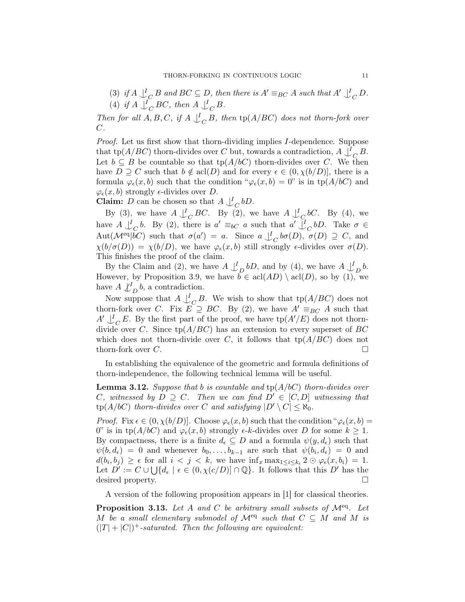(3) if  $A \downarrow_C^I B$  and  $BC \subseteq D$ , then there is  $A' \equiv_{BC} A$  such that  $A' \downarrow_C^I D$ . (4) if  $A \bigcup_C^I BC$ , then  $A \bigcup_C^I B$ .

Then for all  $A, B, C$ , if  $A \perp_C^{\mathcal{I}} B$ , then  $tp(A/BC)$  does not thorn-fork over C.

Proof. Let us first show that thorn-dividing implies I-dependence. Suppose that tp( $A/BC$ ) thorn-divides over C but, towards a contradiction,  $A \downarrow_C^I B$ . Let  $b \subseteq B$  be countable so that  $tp(A/bC)$  thorn-divides over C. We then have  $D \supseteq C$  such that  $b \notin \text{acl}(D)$  and for every  $\epsilon \in (0, \chi(b/D))$ , there is a formula  $\varphi_{\epsilon}(x, b)$  such that the condition " $\varphi_{\epsilon}(x, b) = 0$ " is in tp(A/bC) and  $\varphi_{\epsilon}(x, b)$  strongly  $\epsilon$ -divides over D.

**Claim:** D can be chosen so that  $A \nightharpoonup_C bD$ .

By (3), we have  $A \perp_C^{\prime} BC$ . By (2), we have  $A \perp_C^{\prime} bC$ . By (4), we have  $A \perp_C^I b$ . By (2), there is  $a' \equiv_{bC} a$  such that  $a' \perp_C^I bD$ . Take  $\sigma \in$ Aut $(\mathcal{M}^{\text{eq}}|bC)$  such that  $\sigma(a') = a$ . Since  $a \bigcup_{C} b\sigma(D), \sigma(D) \supseteq C$ , and  $\chi(b/\sigma(D)) = \chi(b/D)$ , we have  $\varphi_{\epsilon}(x, b)$  still strongly  $\epsilon$ -divides over  $\sigma(D)$ . This finishes the proof of the claim.

By the Claim and (2), we have  $A \nightharpoonup^I_D bD$ , and by (4), we have  $A \nightharpoonup^I_D b$ . However, by Proposition 3.9, we have  $\overline{b} \in \text{acl}(AD) \setminus \text{acl}(D)$ , so by (1), we have  $A \nsubseteq_L^I b$ , a contradiction.

Now suppose that  $A \downarrow_C^{\prime} B$ . We wish to show that  $tp(A/BC)$  does not thorn-fork over C. Fix  $E \supseteq BC$ . By (2), we have  $A' \equiv_{BC} A$  such that  $A' \bigcup_C^I E$ . By the first part of the proof, we have  $tp(A'/E)$  does not thorndivide over C. Since  $tp(A/BC)$  has an extension to every superset of BC which does not thorn-divide over C, it follows that  $tp(A/BC)$  does not thorn-fork over  $C$ .

In establishing the equivalence of the geometric and formula definitions of thorn-independence, the following technical lemma will be useful.

**Lemma 3.12.** Suppose that b is countable and  $tp(A/bC)$  thorn-divides over C, witnessed by  $D \supseteq C$ . Then we can find  $D' \in [C, D]$  witnessing that  $tp(A/bC)$  thorn-divides over C and satisfying  $|D' \setminus C| \leq \aleph_0$ .

*Proof.* Fix  $\epsilon \in (0, \chi(b/D)]$ . Choose  $\varphi_{\epsilon}(x, b)$  such that the condition " $\varphi_{\epsilon}(x, b)$  = 0" is in tp( $A/bC$ ) and  $\varphi_{\epsilon}(x, b)$  strongly  $\epsilon$ -k-divides over D for some  $k \geq 1$ . By compactness, there is a finite  $d_{\epsilon} \subseteq D$  and a formula  $\psi(y, d_{\epsilon})$  such that  $\psi(b, d_{\epsilon}) = 0$  and whenever  $b_0, \ldots, b_{k-1}$  are such that  $\psi(b_i, d_{\epsilon}) = 0$  and  $d(b_i, b_j) \geq \epsilon$  for all  $i < j < k$ , we have  $\inf_x \max_{1 \leq i \leq k_{\epsilon}} 2 \odot \varphi_{\epsilon}(x, b_i) = 1$ . Let  $D' := C \cup \bigcup \{d_{\epsilon} \mid \epsilon \in (0, \chi(c/D)] \cap \mathbb{Q}\}\)$ . It follows that this  $D'$  has the desired property.

A version of the following proposition appears in [1] for classical theories.

**Proposition 3.13.** Let A and C be arbitrary small subsets of  $\mathcal{M}^{\text{eq}}$ . Let M be a small elementary submodel of  $\mathcal{M}^{eq}$  such that  $C \subseteq M$  and M is  $(|T|+|C|)^+$ -saturated. Then the following are equivalent: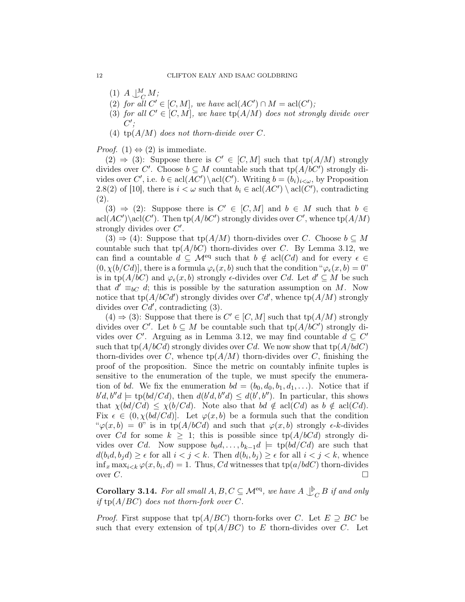- (1)  $A \bigcup_C^M M;$
- (2) for all  $C' \in [C, M]$ , we have  $\operatorname{acl}(AC') \cap M = \operatorname{acl}(C')$ ;
- (3) for all  $C' \in [C, M]$ , we have  $tp(A/M)$  does not strongly divide over  $C';$
- (4)  $tp(A/M)$  does not thorn-divide over C.

*Proof.* (1)  $\Leftrightarrow$  (2) is immediate.

 $(2) \Rightarrow (3)$ : Suppose there is  $C' \in [C, M]$  such that tp $(A/M)$  strongly divides over C'. Choose  $b \subseteq M$  countable such that  $tp(A/bC')$  strongly divides over C', i.e.  $b \in \text{acl}(AC') \setminus \text{acl}(C')$ . Writing  $b = (b_i)_{i \lt \omega}$ , by Proposition 2.8(2) of [10], there is  $i < \omega$  such that  $b_i \in \text{acl}(AC') \setminus \text{acl}(C')$ , contradicting (2).

 $(3) \Rightarrow (2)$ : Suppose there is  $C' \in [C, M]$  and  $b \in M$  such that  $b \in$  $\text{acl}(AC')\backslash \text{acl}(C')$ . Then tp $(A/bC')$  strongly divides over C', whence tp $(A/M)$ strongly divides over  $C'$ .

 $(3) \Rightarrow (4)$ : Suppose that tp $(A/M)$  thorn-divides over C. Choose  $b \subseteq M$ countable such that  $tp(A/bC)$  thorn-divides over C. By Lemma 3.12, we can find a countable  $d \subseteq \mathcal{M}^{eq}$  such that  $b \notin \text{acl}(Cd)$  and for every  $\epsilon \in$  $(0, \chi(b/Cd)]$ , there is a formula  $\varphi_{\epsilon}(x, b)$  such that the condition " $\varphi_{\epsilon}(x, b) = 0$ " is in tp( $A/bC$ ) and  $\varphi_{\epsilon}(x, b)$  strongly  $\epsilon$ -divides over Cd. Let  $d' \subseteq M$  be such that  $d' \equiv_{bC} d$ ; this is possible by the saturation assumption on M. Now notice that  $tp(A/bCd')$  strongly divides over  $Cd'$ , whence  $tp(A/M)$  strongly divides over  $Cd'$ , contradicting (3).

 $(4) \Rightarrow (3)$ : Suppose that there is  $C' \in [C, M]$  such that tp $(A/M)$  strongly divides over C'. Let  $b \subseteq M$  be countable such that  $tp(A/bC')$  strongly divides over C'. Arguing as in Lemma 3.12, we may find countable  $d \subseteq C'$ such that tp( $A/bCd$ ) strongly divides over Cd. We now show that tp( $A/bdC$ ) thorn-divides over C, whence  $tp(A/M)$  thorn-divides over C, finishing the proof of the proposition. Since the metric on countably infinite tuples is sensitive to the enumeration of the tuple, we must specify the enumeration of bd. We fix the enumeration  $bd = (b_0, d_0, b_1, d_1, \ldots)$ . Notice that if  $b'd, b''d \models \text{tp}(bd/Cd), \text{ then } d(b'd, b''d) \leq d(b', b'').$  In particular, this shows that  $\chi(bd/Cd) \leq \chi(b/Cd)$ . Note also that  $bd \notin \text{acl}(Cd)$  as  $b \notin \text{acl}(Cd)$ . Fix  $\epsilon \in (0, \chi(bd/Cd))$ . Let  $\varphi(x, b)$  be a formula such that the condition " $\varphi(x, b) = 0$ " is in tp(A/bCd) and such that  $\varphi(x, b)$  strongly  $\epsilon$ -k-divides over Cd for some  $k \geq 1$ ; this is possible since  $tp(A/bCd)$  strongly divides over Cd. Now suppose  $b_0d, \ldots, b_{k-1}d \models \text{tp}(bd/Cd)$  are such that  $d(b_i, b_j, d) \geq \epsilon$  for all  $i < j < k$ . Then  $d(b_i, b_j) \geq \epsilon$  for all  $i < j < k$ , whence  $\inf_x \max_{i \leq k} \varphi(x, b_i, d) = 1$ . Thus, Cd witnesses that  $\text{tp}(a/bdC)$  thorn-divides over  $C$ .

**Corollary 3.14.** For all small  $A, B, C \subseteq \mathcal{M}^{eq}$ , we have  $A \bigcup_{C}^{b} B$  if and only if  $tp(A/BC)$  does not thorn-fork over C.

*Proof.* First suppose that  $tp(A/BC)$  thorn-forks over C. Let  $E \supseteq BC$  be such that every extension of  $tp(A/BC)$  to E thorn-divides over C. Let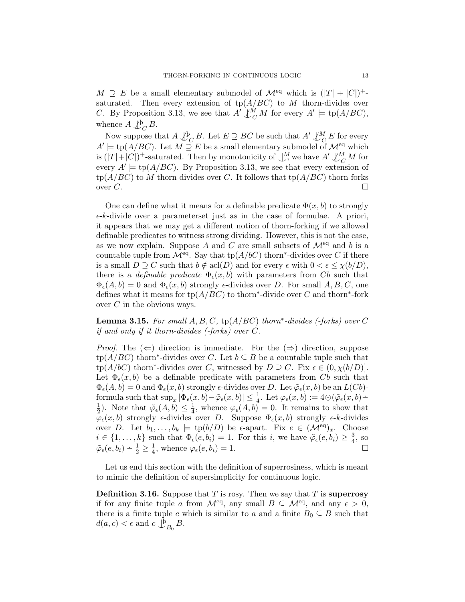$M \supseteq E$  be a small elementary submodel of  $\mathcal{M}^{eq}$  which is  $(|T| + |C|)^{+}$ . saturated. Then every extension of  $tp(A/BC)$  to M thorn-divides over C. By Proposition 3.13, we see that  $A' \downarrow^M_C M$  for every  $A' \models \text{tp}(A/BC)$ , whence  $A \nbiguplus_C B$ .

Now suppose that  $A \bigcup_{C}^{b} B$ . Let  $E \supseteq BC$  be such that  $A' \bigcup_{C}^{M} E$  for every  $A' \models \text{tp}(A/BC)$ . Let  $M \supseteq E$  be a small elementary submodel of  $\mathcal{M}^{\text{eq}}$  which is  $(|T|+|C|)^+$ -saturated. Then by monotonicity of  $\bigcup_{\alpha}^M$ , we have  $A'\bigcup_{\alpha}^M M$  for every  $A' \models \text{tp}(A/BC)$ . By Proposition 3.13, we see that every extension of  $tp(A/BC)$  to M thorn-divides over C. It follows that  $tp(A/BC)$  thorn-forks over  $C$ .

One can define what it means for a definable predicate  $\Phi(x, b)$  to strongly  $\epsilon$ -k-divide over a parameters i just as in the case of formulae. A priori, it appears that we may get a different notion of thorn-forking if we allowed definable predicates to witness strong dividing. However, this is not the case, as we now explain. Suppose  $A$  and  $C$  are small subsets of  $\mathcal{M}^{\text{eq}}$  and  $b$  is a countable tuple from  $\mathcal{M}^{\text{eq}}$ . Say that tp( $A/bC$ ) thorn<sup>\*</sup>-divides over C if there is a small  $D \supseteq C$  such that  $b \notin \text{acl}(D)$  and for every  $\epsilon$  with  $0 < \epsilon \leq \chi(b/D)$ , there is a *definable predicate*  $\Phi_{\epsilon}(x, b)$  with parameters from Cb such that  $\Phi_{\epsilon}(A, b) = 0$  and  $\Phi_{\epsilon}(x, b)$  strongly  $\epsilon$ -divides over D. For small  $A, B, C$ , one defines what it means for  $tp(A/BC)$  to thorn<sup>\*</sup>-divide over C and thorn<sup>\*</sup>-fork over  $C$  in the obvious ways.

**Lemma 3.15.** For small  $A, B, C$ ,  $tp(A/BC)$  thorn<sup>\*</sup>-divides (-forks) over C if and only if it thorn-divides (-forks) over C.

*Proof.* The  $(\Leftarrow)$  direction is immediate. For the  $(\Rightarrow)$  direction, suppose  $\text{tp}(A/BC)$  thorn<sup>\*</sup>-divides over C. Let  $b \subseteq B$  be a countable tuple such that  $tp(A/bC)$  thorn<sup>\*</sup>-divides over C, witnessed by  $D \supseteq C$ . Fix  $\epsilon \in (0, \chi(b/D)].$ Let  $\Phi_{\epsilon}(x, b)$  be a definable predicate with parameters from Cb such that  $\Phi_{\epsilon}(A, b) = 0$  and  $\Phi_{\epsilon}(x, b)$  strongly  $\epsilon$ -divides over D. Let  $\tilde{\varphi}_{\epsilon}(x, b)$  be an  $L(Cb)$ formula such that  $\sup_x |\Phi_{\epsilon}(x,b)-\tilde{\varphi}_{\epsilon}(x,b)| \leq \frac{1}{4}$ . Let  $\varphi_{\epsilon}(x,b) := 4 \odot (\tilde{\varphi}_{\epsilon}(x,b) -$ 1  $(\frac{1}{2})$ . Note that  $\tilde{\varphi}_{\epsilon}(A,b) \leq \frac{1}{4}$  $\frac{1}{4}$ , whence  $\varphi_{\epsilon}(A, b) = 0$ . It remains to show that  $\varphi_{\epsilon}(x, b)$  strongly  $\epsilon$ -divides over D. Suppose  $\Phi_{\epsilon}(x, b)$  strongly  $\epsilon$ -k-divides over D. Let  $b_1, \ldots, b_k \models \text{tp}(b/D)$  be  $\epsilon$ -apart. Fix  $e \in (\mathcal{M}^{\text{eq}})_x$ . Choose  $i \in \{1, \ldots, k\}$  such that  $\Phi_{\epsilon}(e, b_i) = 1$ . For this i, we have  $\tilde{\varphi}_{\epsilon}(e, b_i) \geq \frac{3}{4}$  $\frac{3}{4}$ , so  $\tilde{\varphi}_{\epsilon}(e, b_i) - \frac{1}{2} \geq \frac{1}{4}$  $\frac{1}{4}$ , whence  $\varphi_{\epsilon}(e, b_i) = 1$ .

Let us end this section with the definition of superrosiness, which is meant to mimic the definition of supersimplicity for continuous logic.

**Definition 3.16.** Suppose that T is rosy. Then we say that T is superrosy if for any finite tuple a from  $\mathcal{M}^{\text{eq}}$ , any small  $B \subseteq \mathcal{M}^{\text{eq}}$ , and any  $\epsilon > 0$ , there is a finite tuple c which is similar to a and a finite  $B_0 \subseteq B$  such that  $d(a, c) < \epsilon$  and  $c \bigcup_{B_0}^{\beta} B$ .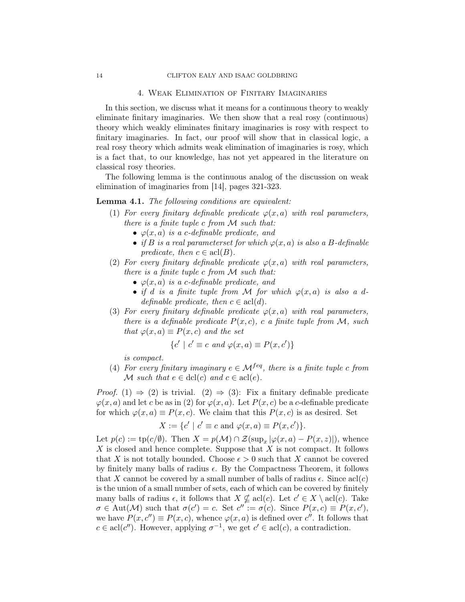#### 4. Weak Elimination of Finitary Imaginaries

In this section, we discuss what it means for a continuous theory to weakly eliminate finitary imaginaries. We then show that a real rosy (continuous) theory which weakly eliminates finitary imaginaries is rosy with respect to finitary imaginaries. In fact, our proof will show that in classical logic, a real rosy theory which admits weak elimination of imaginaries is rosy, which is a fact that, to our knowledge, has not yet appeared in the literature on classical rosy theories.

The following lemma is the continuous analog of the discussion on weak elimination of imaginaries from [14], pages 321-323.

## Lemma 4.1. The following conditions are equivalent:

- (1) For every finitary definable predicate  $\varphi(x, a)$  with real parameters, there is a finite tuple c from M such that:
	- $\varphi(x, a)$  is a c-definable predicate, and
	- if B is a real parameters t for which  $\varphi(x, a)$  is also a B-definable predicate, then  $c \in \operatorname{acl}(B)$ .
- (2) For every finitary definable predicate  $\varphi(x, a)$  with real parameters, there is a finite tuple  $c$  from  $M$  such that:
	- $\varphi(x, a)$  is a c-definable predicate, and
	- if d is a finite tuple from M for which  $\varphi(x, a)$  is also a ddefinable predicate, then  $c \in \operatorname{acl}(d)$ .
- (3) For every finitary definable predicate  $\varphi(x, a)$  with real parameters, there is a definable predicate  $P(x, c)$ , c a finite tuple from M, such that  $\varphi(x, a) \equiv P(x, c)$  and the set

$$
\{c' \mid c' \equiv c \text{ and } \varphi(x, a) \equiv P(x, c')\}
$$

is compact.

(4) For every finitary imaginary  $e \in M^{feq}$ , there is a finite tuple c from M such that  $e \in \text{dcl}(c)$  and  $c \in \text{acl}(e)$ .

*Proof.* (1)  $\Rightarrow$  (2) is trivial. (2)  $\Rightarrow$  (3): Fix a finitary definable predicate  $\varphi(x, a)$  and let c be as in (2) for  $\varphi(x, a)$ . Let  $P(x, c)$  be a c-definable predicate for which  $\varphi(x, a) \equiv P(x, c)$ . We claim that this  $P(x, c)$  is as desired. Set

$$
X := \{c' \mid c' \equiv c \text{ and } \varphi(x, a) \equiv P(x, c')\}.
$$

Let  $p(c) := \text{tp}(c/\emptyset)$ . Then  $X = p(\mathcal{M}) \cap \mathcal{Z}(\sup_x |\varphi(x, a) - P(x, z)|)$ , whence  $X$  is closed and hence complete. Suppose that  $X$  is not compact. It follows that X is not totally bounded. Choose  $\epsilon > 0$  such that X cannot be covered by finitely many balls of radius  $\epsilon$ . By the Compactness Theorem, it follows that X cannot be covered by a small number of balls of radius  $\epsilon$ . Since acl(c) is the union of a small number of sets, each of which can be covered by finitely many balls of radius  $\epsilon$ , it follows that  $X \nsubseteq \text{acl}(c)$ . Let  $c' \in X \setminus \text{acl}(c)$ . Take  $\sigma \in \text{Aut}(\mathcal{M})$  such that  $\sigma(c') = c$ . Set  $c'' := \sigma(c)$ . Since  $P(x, c) \equiv P(x, c')$ , we have  $P(x, c'') \equiv P(x, c)$ , whence  $\varphi(x, a)$  is defined over c''. It follows that  $c \in \text{acl}(c'')$ . However, applying  $\sigma^{-1}$ , we get  $c' \in \text{acl}(c)$ , a contradiction.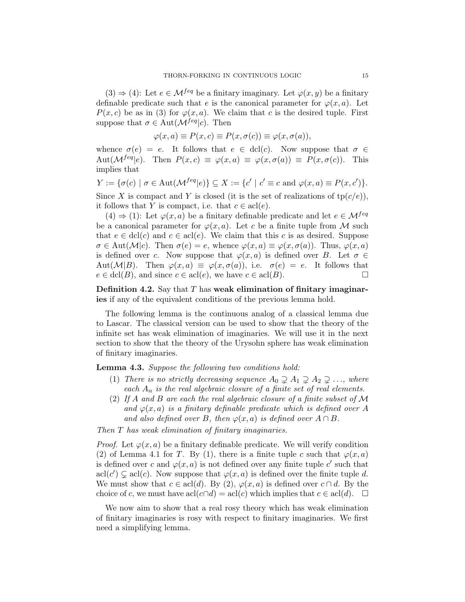$(3) \Rightarrow (4)$ : Let  $e \in \mathcal{M}^{feq}$  be a finitary imaginary. Let  $\varphi(x, y)$  be a finitary definable predicate such that e is the canonical parameter for  $\varphi(x, a)$ . Let  $P(x, c)$  be as in (3) for  $\varphi(x, a)$ . We claim that c is the desired tuple. First suppose that  $\sigma \in \text{Aut}(\mathcal{M}^{feq}|c)$ . Then

$$
\varphi(x, a) \equiv P(x, c) \equiv P(x, \sigma(c)) \equiv \varphi(x, \sigma(a)),
$$

whence  $\sigma(e) = e$ . It follows that  $e \in \text{dcl}(c)$ . Now suppose that  $\sigma \in$ Aut $(\mathcal{M}^{feq}|e)$ . Then  $P(x, c) \equiv \varphi(x, a) \equiv \varphi(x, \sigma(a)) \equiv P(x, \sigma(c))$ . This implies that

$$
Y := \{ \sigma(c) \mid \sigma \in \text{Aut}(\mathcal{M}^{feq}|e) \} \subseteq X := \{ c' \mid c' \equiv c \text{ and } \varphi(x, a) \equiv P(x, c') \}.
$$

Since X is compact and Y is closed (it is the set of realizations of  $tp(c/e)$ ), it follows that Y is compact, i.e. that  $c \in \operatorname{acl}(e)$ .

(4)  $\Rightarrow$  (1): Let  $\varphi(x, a)$  be a finitary definable predicate and let  $e \in \mathcal{M}^{feq}$ be a canonical parameter for  $\varphi(x, a)$ . Let c be a finite tuple from M such that  $e \in \text{dcl}(c)$  and  $c \in \text{acl}(e)$ . We claim that this c is as desired. Suppose  $\sigma \in \text{Aut}(\mathcal{M}|c)$ . Then  $\sigma(e) = e$ , whence  $\varphi(x, a) \equiv \varphi(x, \sigma(a))$ . Thus,  $\varphi(x, a)$ is defined over c. Now suppose that  $\varphi(x, a)$  is defined over B. Let  $\sigma \in$ Aut $(\mathcal{M}|B)$ . Then  $\varphi(x,a) \equiv \varphi(x,\sigma(a))$ , i.e.  $\sigma(e) = e$ . It follows that  $e \in \text{dcl}(B)$ , and since  $c \in \text{acl}(e)$ , we have  $c \in \text{acl}(B)$ .

Definition 4.2. Say that  $T$  has weak elimination of finitary imaginaries if any of the equivalent conditions of the previous lemma hold.

The following lemma is the continuous analog of a classical lemma due to Lascar. The classical version can be used to show that the theory of the infinite set has weak elimination of imaginaries. We will use it in the next section to show that the theory of the Urysohn sphere has weak elimination of finitary imaginaries.

Lemma 4.3. Suppose the following two conditions hold:

- (1) There is no strictly decreasing sequence  $A_0 \supsetneq A_1 \supsetneq A_2 \supsetneq \ldots$ , where each  $A_n$  is the real algebraic closure of a finite set of real elements.
- (2) If A and B are each the real algebraic closure of a finite subset of  $\mathcal M$ and  $\varphi(x, a)$  is a finitary definable predicate which is defined over A and also defined over B, then  $\varphi(x, a)$  is defined over  $A \cap B$ .

Then T has weak elimination of finitary imaginaries.

*Proof.* Let  $\varphi(x, a)$  be a finitary definable predicate. We will verify condition (2) of Lemma 4.1 for T. By (1), there is a finite tuple c such that  $\varphi(x, a)$ is defined over c and  $\varphi(x, a)$  is not defined over any finite tuple c' such that acl(c')  $\subsetneq$  acl(c). Now suppose that  $\varphi(x, a)$  is defined over the finite tuple d. We must show that  $c \in \text{acl}(d)$ . By  $(2)$ ,  $\varphi(x, a)$  is defined over  $c \cap d$ . By the choice of c, we must have  $\text{acl}(c \cap d) = \text{acl}(c)$  which implies that  $c \in \text{acl}(d)$ .  $\Box$ 

We now aim to show that a real rosy theory which has weak elimination of finitary imaginaries is rosy with respect to finitary imaginaries. We first need a simplifying lemma.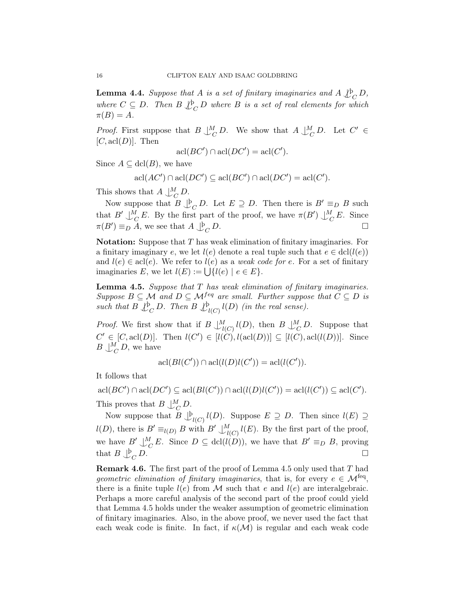**Lemma 4.4.** Suppose that A is a set of finitary imaginaries and  $A \nsubseteq^{\mathsf{b}}_C D$ , where  $C \subseteq D$ . Then  $B \nvert \mathcal{L}_C^{\text{b}} D$  where  $B$  is a set of real elements for which  $\pi(B) = A$ .

*Proof.* First suppose that  $B \perp_C^M D$ . We show that  $A \perp_C^M D$ . Let  $C' \in$  $[C, \operatorname{acl}(D)]$ . Then

$$
acl(BC') \cap acl(DC') = acl(C').
$$

Since  $A \subseteq \text{dcl}(B)$ , we have

$$
\operatorname{acl}(AC') \cap \operatorname{acl}(DC') \subseteq \operatorname{acl}(BC') \cap \operatorname{acl}(DC') = \operatorname{acl}(C').
$$

This shows that  $A \bigcup_{C}^{M} D$ .

Now suppose that  $B \bigcup_{C}^{b} D$ . Let  $E \supseteq D$ . Then there is  $B' \equiv_{D} B$  such that  $B' \perp^M_C E$ . By the first part of the proof, we have  $\pi(B') \perp^M_C E$ . Since  $\pi(B') \equiv_D A$ , we see that  $A \downarrow_C^{\mathbf{b}}$  $D.$ 

Notation: Suppose that T has weak elimination of finitary imaginaries. For a finitary imaginary e, we let  $l(e)$  denote a real tuple such that  $e \in \text{dcl}(l(e))$ and  $l(e) \in \text{acl}(e)$ . We refer to  $l(e)$  as a weak code for e. For a set of finitary imaginaries E, we let  $l(E) := \bigcup \{l(e) \mid e \in E\}.$ 

**Lemma 4.5.** Suppose that  $T$  has weak elimination of finitary imaginaries. Suppose  $B \subseteq \mathcal{M}$  and  $D \subseteq \mathcal{M}^{feq}$  are small. Further suppose that  $C \subseteq D$  is such that  $B \nsubseteq_C^{\text{b}} D$ . Then  $B \nsubseteq_{l(C)}^{{\text{b}} l(D)$  (in the real sense).

*Proof.* We first show that if  $B \bigcup_{l(C)}^M l(D)$ , then  $B \bigcup_{C}^M D$ . Suppose that  $C' \in [C, \text{acl}(D)].$  Then  $l(C') \in [l(C), l(\text{acl}(D))] \subseteq [l(C), \text{acl}(l(D))].$  Since  $B \bigcup^M_C D$ , we have

$$
acl(Bl(C')) \cap acl(l(D)l(C')) = acl(l(C')).
$$

It follows that

 $\operatorname{acl}(BC') \cap \operatorname{acl}(DC') \subseteq \operatorname{acl}(Bl(C')) \cap \operatorname{acl}(l(D)l(C')) = \operatorname{acl}(l(C')) \subseteq \operatorname{acl}(C').$ This proves that  $B \bigcup^M_C D$ .

Now suppose that  $B \bigcup_{l(C)}^{\mathfrak{b}} l(D)$ . Suppose  $E \supseteq D$ . Then since  $l(E) \supseteq$  $l(D)$ , there is  $B' \equiv_{l(D)} B$  with  $B' \bigcup_{l(C)}^M l(E)$ . By the first part of the proof, we have  $B' \cup_{C}^{M} E$ . Since  $D \subseteq \text{dcl}(l(D))$ , we have that  $B' \equiv_{D} B$ , proving that  $B \bigcup_C^{\mathfrak{b}} C$  $D$ .

**Remark 4.6.** The first part of the proof of Lemma 4.5 only used that  $T$  had geometric elimination of finitary imaginaries, that is, for every  $e \in \mathcal{M}^{\text{feq}}$ , there is a finite tuple  $l(e)$  from M such that e and  $l(e)$  are interalgebraic. Perhaps a more careful analysis of the second part of the proof could yield that Lemma 4.5 holds under the weaker assumption of geometric elimination of finitary imaginaries. Also, in the above proof, we never used the fact that each weak code is finite. In fact, if  $\kappa(\mathcal{M})$  is regular and each weak code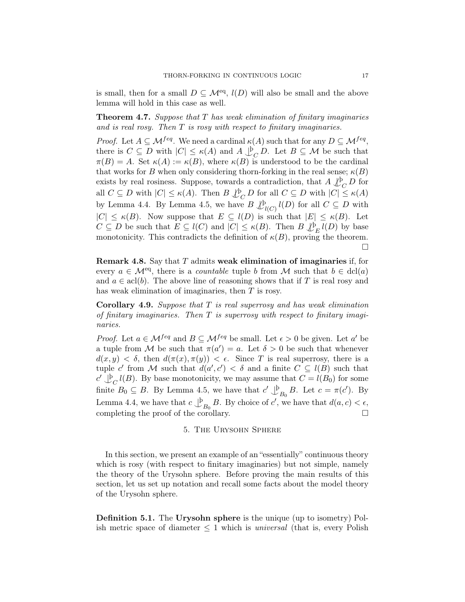is small, then for a small  $D \subseteq \mathcal{M}^{\text{eq}}, l(D)$  will also be small and the above lemma will hold in this case as well.

**Theorem 4.7.** Suppose that  $T$  has weak elimination of finitary imaginaries and is real rosy. Then  $T$  is rosy with respect to finitary imaginaries.

*Proof.* Let  $A \subseteq \mathcal{M}^{feq}$ . We need a cardinal  $\kappa(A)$  such that for any  $D \subseteq \mathcal{M}^{feq}$ , there is  $C \subseteq D$  with  $|C| \leq \kappa(A)$  and  $A \bigcup_{C}^{b} D$ . Let  $B \subseteq \mathcal{M}$  be such that  $\pi(B) = A$ . Set  $\kappa(A) := \kappa(B)$ , where  $\kappa(B)$  is understood to be the cardinal that works for B when only considering thorn-forking in the real sense;  $\kappa(B)$ exists by real rosiness. Suppose, towards a contradiction, that  $A \downarrow^{\mathbf{b}}_{C} D$  for all  $C \subseteq D$  with  $|C| \leq \kappa(A)$ . Then  $B \downarrow_C^{\mathfrak{b}} D$  for all  $C \subseteq D$  with  $|C| \leq \kappa(A)$ by Lemma 4.4. By Lemma 4.5, we have  $B \nsubseteql_{l(C)}^{b}$   $l(D)$  for all  $C \subseteq D$  with  $|C| \leq \kappa(B)$ . Now suppose that  $E \subseteq l(D)$  is such that  $|E| \leq \kappa(B)$ . Let  $C \subseteq D$  be such that  $E \subseteq l(C)$  and  $|C| \leq \kappa(B)$ . Then  $B \downarrow_{E}^{b} l(D)$  by base monotonicity. This contradicts the definition of  $\kappa(B)$ , proving the theorem.  $\Box$ 

**Remark 4.8.** Say that  $T$  admits weak elimination of imaginaries if, for every  $a \in \mathcal{M}^{eq}$ , there is a *countable* tuple b from M such that  $b \in \text{dcl}(a)$ and  $a \in \text{acl}(b)$ . The above line of reasoning shows that if T is real rosy and has weak elimination of imaginaries, then T is rosy.

**Corollary 4.9.** Suppose that  $T$  is real superrosy and has weak elimination of finitary imaginaries. Then T is superrosy with respect to finitary imaginaries.

*Proof.* Let  $a \in \mathcal{M}^{feq}$  and  $B \subseteq \mathcal{M}^{feq}$  be small. Let  $\epsilon > 0$  be given. Let  $a'$  be a tuple from M be such that  $\pi(a') = a$ . Let  $\delta > 0$  be such that whenever  $d(x, y) < \delta$ , then  $d(\pi(x), \pi(y)) < \epsilon$ . Since T is real superrosy, there is a tuple c' from M such that  $d(a', c') < \delta$  and a finite  $C \subseteq l(B)$  such that  $c' \bigcup_{C}^{b} l(B)$ . By base monotonicity, we may assume that  $C = l(B_0)$  for some finite  $B_0 \subseteq B$ . By Lemma 4.5, we have that  $c' \downarrow_{B_0}^{\{b\}} B$ . Let  $c = \pi(c')$ . By Lemma 4.4, we have that  $c \bigcup_{B_0}^{\mathbf{b}} B$ . By choice of  $c'$ , we have that  $d(a, c) < \epsilon$ , completing the proof of the corollary.  $\Box$ 

## 5. The Urysohn Sphere

In this section, we present an example of an "essentially" continuous theory which is rosy (with respect to finitary imaginaries) but not simple, namely the theory of the Urysohn sphere. Before proving the main results of this section, let us set up notation and recall some facts about the model theory of the Urysohn sphere.

Definition 5.1. The Urysohn sphere is the unique (up to isometry) Polish metric space of diameter  $\leq 1$  which is *universal* (that is, every Polish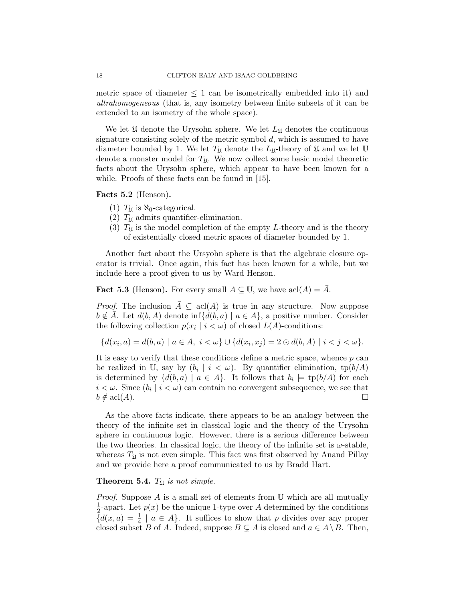metric space of diameter  $\leq 1$  can be isometrically embedded into it) and ultrahomogeneous (that is, any isometry between finite subsets of it can be extended to an isometry of the whole space).

We let  $\mathfrak U$  denote the Urysohn sphere. We let  $L_{\mathfrak U}$  denotes the continuous signature consisting solely of the metric symbol  $d$ , which is assumed to have diameter bounded by 1. We let  $T_{\mathfrak{U}}$  denote the  $L_{\mathfrak{U}}$ -theory of  $\mathfrak{U}$  and we let  $\mathbb U$ denote a monster model for  $T_{\mathfrak{U}}$ . We now collect some basic model theoretic facts about the Urysohn sphere, which appear to have been known for a while. Proofs of these facts can be found in [15].

Facts 5.2 (Henson).

- (1)  $T_{\mathfrak{U}}$  is  $\aleph_0$ -categorical.
- (2)  $T_{\mathfrak{U}}$  admits quantifier-elimination.
- (3)  $T_{\mathfrak{U}}$  is the model completion of the empty L-theory and is the theory of existentially closed metric spaces of diameter bounded by 1.

Another fact about the Ursyohn sphere is that the algebraic closure operator is trivial. Once again, this fact has been known for a while, but we include here a proof given to us by Ward Henson.

**Fact 5.3** (Henson). For every small  $A \subseteq U$ , we have  $\text{acl}(A) = A$ .

*Proof.* The inclusion  $A \subseteq \text{acl}(A)$  is true in any structure. Now suppose  $b \notin A$ . Let  $d(b, A)$  denote inf $\{d(b, a) \mid a \in A\}$ , a positive number. Consider the following collection  $p(x_i \mid i < \omega)$  of closed  $L(A)$ -conditions:

$$
\{d(x_i, a) = d(b, a) \mid a \in A, \ i < \omega\} \cup \{d(x_i, x_j) = 2 \odot d(b, A) \mid i < j < \omega\}.
$$

It is easy to verify that these conditions define a metric space, whence  $p$  can be realized in U, say by  $(b_i \mid i < \omega)$ . By quantifier elimination,  $tp(b/A)$ is determined by  $\{d(b,a) \mid a \in A\}$ . It follows that  $b_i \models \text{tp}(b/A)$  for each  $i < \omega$ . Since  $(b_i \mid i < \omega)$  can contain no convergent subsequence, we see that  $b \notin \operatorname{acl}(A).$ 

As the above facts indicate, there appears to be an analogy between the theory of the infinite set in classical logic and the theory of the Urysohn sphere in continuous logic. However, there is a serious difference between the two theories. In classical logic, the theory of the infinite set is  $\omega$ -stable, whereas  $T_{\mathfrak{U}}$  is not even simple. This fact was first observed by Anand Pillay and we provide here a proof communicated to us by Bradd Hart.

## Theorem 5.4.  $T_{\mathfrak{U}}$  is not simple.

*Proof.* Suppose A is a small set of elements from  $\mathbb U$  which are all mutually 1  $\frac{1}{2}$ -apart. Let  $p(x)$  be the unique 1-type over A determined by the conditions  $\{d(x, a) = \frac{1}{4} \mid a \in A\}$ . It suffices to show that p divides over any proper closed subset B of A. Indeed, suppose  $B \subsetneq A$  is closed and  $a \in A \setminus B$ . Then,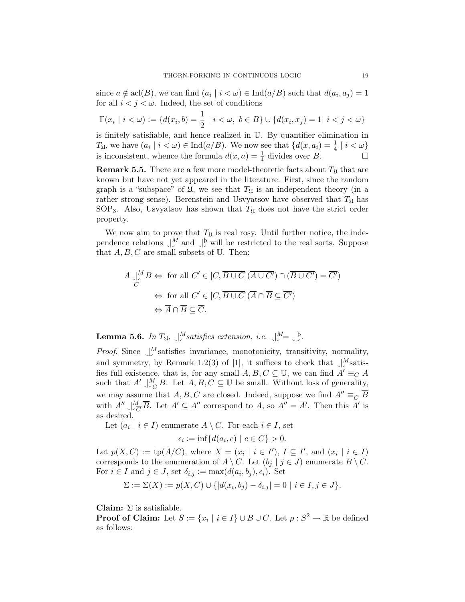since  $a \notin \text{acl}(B)$ , we can find  $(a_i | i < \omega) \in \text{Ind}(a/B)$  such that  $d(a_i, a_j) = 1$ for all  $i < j < \omega$ . Indeed, the set of conditions

$$
\Gamma(x_i \mid i < \omega) := \{d(x_i, b) = \frac{1}{2} \mid i < \omega, \ b \in B\} \cup \{d(x_i, x_j) = 1 \mid i < j < \omega\}
$$

is finitely satisfiable, and hence realized in U. By quantifier elimination in  $T_{\mathfrak{U}}$ , we have  $(a_i \mid i < \omega) \in \text{Ind}(a/B)$ . We now see that  $\{d(x, a_i) = \frac{1}{4} \mid i < \omega\}$ is inconsistent, whence the formula  $d(x, a) = \frac{1}{4}$  divides over B.

**Remark 5.5.** There are a few more model-theoretic facts about  $T_{\text{M}}$  that are known but have not yet appeared in the literature. First, since the random graph is a "subspace" of  $\mathfrak{U}$ , we see that  $T_{\mathfrak{U}}$  is an independent theory (in a rather strong sense). Berenstein and Usvyatsov have observed that  $T_{\mathfrak{U}}$  has SOP<sub>3</sub>. Also, Usvyatsov has shown that  $T_{\mathfrak{U}}$  does not have the strict order property.

We now aim to prove that  $T_{\mathfrak{U}}$  is real rosy. Until further notice, the independence relations  $\bigcup_{M}^{M}$  and  $\bigcup_{N}^{P}$  will be restricted to the real sorts. Suppose that  $A, B, C$  are small subsets of  $U$ . Then:

$$
A \bigcup_{C}^{M} B \Leftrightarrow \text{ for all } C' \in [C, \overline{B \cup C}] (\overline{A \cup C'}) \cap (\overline{B \cup C'}) = \overline{C'})
$$
  

$$
\Leftrightarrow \text{ for all } C' \in [C, \overline{B \cup C}] (\overline{A} \cap \overline{B} \subseteq \overline{C'})
$$
  

$$
\Leftrightarrow \overline{A} \cap \overline{B} \subseteq \overline{C}.
$$

**Lemma 5.6.** In  $T_{\mathfrak{U}}$ ,  $\bigcup^M$ satisfies extension, i.e.  $\bigcup^M = \bigcup^{\mathfrak{b}}$ .

*Proof.* Since  $\bigcup^M$  satisfies invariance, monotonicity, transitivity, normality, and symmetry, by Remark 1.2(3) of [1], it suffices to check that  $\bigcup^M$  satisfies full existence, that is, for any small  $A, B, C \subseteq U$ , we can find  $A' \equiv_C A$ such that  $A' \bigcup_{C}^{M} B$ . Let  $A, B, C \subseteq \mathbb{U}$  be small. Without loss of generality, we may assume that A, B, C are closed. Indeed, suppose we find  $A'' \equiv_{\overline{C}} \overline{B}$ with  $A'' \downarrow_{\overline{C}}^M \overline{B}$ . Let  $A' \subseteq A''$  correspond to A, so  $A'' = \overline{A'}$ . Then this A' is as desired.

Let  $(a_i \mid i \in I)$  enumerate  $A \setminus C$ . For each  $i \in I$ , set

$$
\epsilon_i := \inf \{ d(a_i, c) \mid c \in C \} > 0.
$$

Let  $p(X, C) := \text{tp}(A/C)$ , where  $X = (x_i \mid i \in I')$ ,  $I \subseteq I'$ , and  $(x_i \mid i \in I)$ corresponds to the enumeration of  $A \setminus C$ . Let  $(b_j | j \in J)$  enumerate  $B \setminus C$ . For  $i \in I$  and  $j \in J$ , set  $\delta_{i,j} := \max(d(a_i, b_j), \epsilon_i)$ . Set

$$
\Sigma := \Sigma(X) := p(X, C) \cup \{ |d(x_i, b_j) - \delta_{i,j} | = 0 | i \in I, j \in J \}.
$$

Claim:  $\Sigma$  is satisfiable.

**Proof of Claim:** Let  $S := \{x_i \mid i \in I\} \cup B \cup C$ . Let  $\rho : S^2 \to \mathbb{R}$  be defined as follows: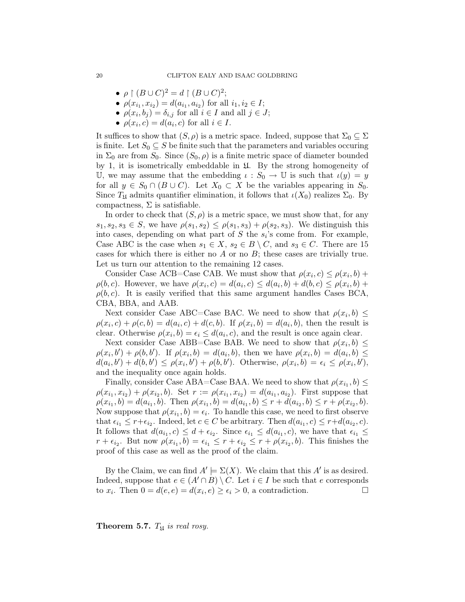- $\rho \restriction (B \cup C)^2 = d \restriction (B \cup C)^2;$
- $\rho(x_{i_1}, x_{i_2}) = d(a_{i_1}, a_{i_2})$  for all  $i_1, i_2 \in I$ ;
- $\rho(x_i, b_j) = \delta_{i,j}$  for all  $i \in I$  and all  $j \in J$ ;
- $\rho(x_i, c) = d(a_i, c)$  for all  $i \in I$ .

It suffices to show that  $(S, \rho)$  is a metric space. Indeed, suppose that  $\Sigma_0 \subseteq \Sigma$ is finite. Let  $S_0 \subseteq S$  be finite such that the parameters and variables occuring in  $\Sigma_0$  are from  $S_0$ . Since  $(S_0, \rho)$  is a finite metric space of diameter bounded by 1, it is isometrically embeddable in  $\mathfrak{U}$ . By the strong homogeneity of U, we may assume that the embedding  $\iota : S_0 \to \mathbb{U}$  is such that  $\iota(y) = y$ for all  $y \in S_0 \cap (B \cup C)$ . Let  $X_0 \subset X$  be the variables appearing in  $S_0$ . Since  $T_{\mathfrak{U}}$  admits quantifier elimination, it follows that  $\iota(X_0)$  realizes  $\Sigma_0$ . By compactness,  $\Sigma$  is satisfiable.

In order to check that  $(S, \rho)$  is a metric space, we must show that, for any  $s_1, s_2, s_3 \in S$ , we have  $\rho(s_1, s_2) \leq \rho(s_1, s_3) + \rho(s_2, s_3)$ . We distinguish this into cases, depending on what part of  $S$  the  $s_i$ 's come from. For example, Case ABC is the case when  $s_1 \in X$ ,  $s_2 \in B \setminus C$ , and  $s_3 \in C$ . There are 15 cases for which there is either no  $A$  or no  $B$ ; these cases are trivially true. Let us turn our attention to the remaining 12 cases.

Consider Case ACB=Case CAB. We must show that  $\rho(x_i, c) \leq \rho(x_i, b) +$  $\rho(b, c)$ . However, we have  $\rho(x_i, c) = d(a_i, c) \leq d(a_i, b) + d(b, c) \leq \rho(x_i, b) +$  $\rho(b, c)$ . It is easily verified that this same argument handles Cases BCA, CBA, BBA, and AAB.

Next consider Case ABC=Case BAC. We need to show that  $\rho(x_i, b) \leq$  $\rho(x_i, c) + \rho(c, b) = d(a_i, c) + d(c, b)$ . If  $\rho(x_i, b) = d(a_i, b)$ , then the result is clear. Otherwise  $\rho(x_i, b) = \epsilon_i \leq d(a_i, c)$ , and the result is once again clear.

Next consider Case ABB=Case BAB. We need to show that  $\rho(x_i, b) \leq$  $\rho(x_i, b') + \rho(b, b')$ . If  $\rho(x_i, b) = d(a_i, b)$ , then we have  $\rho(x_i, b) = d(a_i, b) \le$  $d(a_i, b') + d(b, b') \leq \rho(x_i, b') + \rho(b, b')$ . Otherwise,  $\rho(x_i, b) = \epsilon_i \leq \rho(x_i, b')$ , and the inequality once again holds.

Finally, consider Case ABA=Case BAA. We need to show that  $\rho(x_{i_1}, b) \leq$  $\rho(x_{i_1}, x_{i_2}) + \rho(x_{i_2}, b)$ . Set  $r := \rho(x_{i_1}, x_{i_2}) = d(a_{i_1}, a_{i_2})$ . First suppose that  $\rho(x_{i_1}, b) = d(a_{i_1}, b)$ . Then  $\rho(x_{i_1}, b) = d(a_{i_1}, b) \leq r + d(a_{i_2}, b) \leq r + \rho(x_{i_2}, b)$ . Now suppose that  $\rho(x_{i_1}, b) = \epsilon_i$ . To handle this case, we need to first observe that  $\epsilon_{i_1} \leq r + \epsilon_{i_2}$ . Indeed, let  $c \in C$  be arbitrary. Then  $d(a_{i_1}, c) \leq r + d(a_{i_2}, c)$ . It follows that  $d(a_{i_1}, c) \leq d + \epsilon_{i_2}$ . Since  $\epsilon_{i_1} \leq d(a_{i_1}, c)$ , we have that  $\epsilon_{i_1} \leq$  $r + \epsilon_{i_2}$ . But now  $\rho(x_{i_1}, b) = \epsilon_{i_1} \leq r + \epsilon_{i_2} \leq r + \rho(x_{i_2}, b)$ . This finishes the proof of this case as well as the proof of the claim.

By the Claim, we can find  $A' \models \Sigma(X)$ . We claim that this A' is as desired. Indeed, suppose that  $e \in (A' \cap B) \setminus C$ . Let  $i \in I$  be such that e corresponds to  $x_i$ . Then  $0 = d(e, e) = d(x_i, e) \geq \epsilon_i > 0$ , a contradiction.

**Theorem 5.7.**  $T_{\mathfrak{U}}$  is real rosy.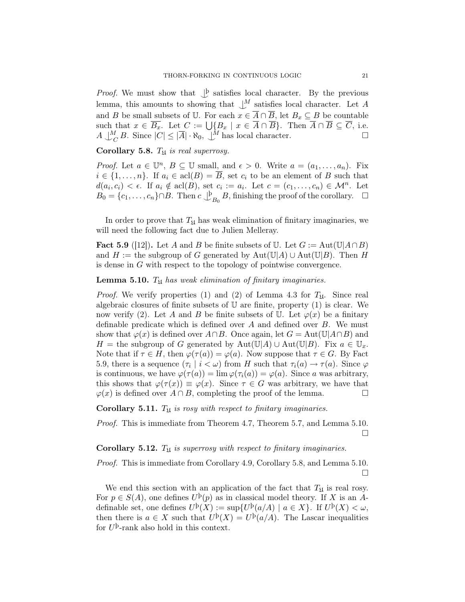*Proof.* We must show that  $\bigcup_{k=1}^{\infty}$  satisfies local character. By the previous lemma, this amounts to showing that  $\bigcup_{i=1}^{M}$  satisfies local character. Let A and B be small subsets of U. For each  $x \in \overline{A} \cap \overline{B}$ , let  $B_x \subseteq B$  be countable such that  $x \in \overline{B_x}$ . Let  $C := \bigcup \{ B_x \mid x \in \overline{A} \cap \overline{B} \}$ . Then  $\overline{A} \cap \overline{B} \subseteq \overline{C}$ , i.e.  $A \bigcup_{C}^{M} B$ . Since  $|C| \leq |\overline{A}| \cdot \aleph_0$ ,  $\bigcup_{C}^{M}$  has local character.

Corollary 5.8.  $T_{\mathfrak{U}}$  is real superrosy.

*Proof.* Let  $a \in \mathbb{U}^n$ ,  $B \subseteq \mathbb{U}$  small, and  $\epsilon > 0$ . Write  $a = (a_1, \ldots, a_n)$ . Fix  $i \in \{1, \ldots, n\}$ . If  $a_i \in \text{acl}(B) = \overline{B}$ , set  $c_i$  to be an element of B such that  $d(a_i, c_i) < \epsilon$ . If  $a_i \notin \text{acl}(B)$ , set  $c_i := a_i$ . Let  $c = (c_1, \ldots, c_n) \in \mathcal{M}^n$ . Let  $B_0 = \{c_1, \ldots, c_n\} \cap B$ . Then  $c \bigcup_{B_0}^{\mathfrak{b}} B$ , finishing the proof of the corollary.  $\Box$ 

In order to prove that  $T_{\mathfrak{U}}$  has weak elimination of finitary imaginaries, we will need the following fact due to Julien Melleray.

**Fact 5.9** ([12]). Let A and B be finite subsets of U. Let  $G := Aut(\mathbb{U}|A \cap B)$ and H := the subgroup of G generated by  $Aut(\mathbb{U}|A) \cup Aut(\mathbb{U}|B)$ . Then H is dense in G with respect to the topology of pointwise convergence.

## **Lemma 5.10.**  $T_{\mathfrak{U}}$  has weak elimination of finitary imaginaries.

*Proof.* We verify properties (1) and (2) of Lemma 4.3 for  $T_{\mathfrak{U}}$ . Since real algebraic closures of finite subsets of  $U$  are finite, property  $(1)$  is clear. We now verify (2). Let A and B be finite subsets of U. Let  $\varphi(x)$  be a finitary definable predicate which is defined over A and defined over B. We must show that  $\varphi(x)$  is defined over  $A \cap B$ . Once again, let  $G = \text{Aut}(\mathbb{U}|A \cap B)$  and H = the subgroup of G generated by  $Aut(\mathbb{U}|A) \cup Aut(\mathbb{U}|B)$ . Fix  $a \in \mathbb{U}_x$ . Note that if  $\tau \in H$ , then  $\varphi(\tau(a)) = \varphi(a)$ . Now suppose that  $\tau \in G$ . By Fact 5.9, there is a sequence  $(\tau_i \mid i < \omega)$  from H such that  $\tau_i(a) \to \tau(a)$ . Since  $\varphi$ is continuous, we have  $\varphi(\tau(a)) = \lim \varphi(\tau_i(a)) = \varphi(a)$ . Since a was arbitrary, this shows that  $\varphi(\tau(x)) \equiv \varphi(x)$ . Since  $\tau \in G$  was arbitrary, we have that  $\varphi(x)$  is defined over  $A \cap B$ , completing the proof of the lemma.

**Corollary 5.11.**  $T_{\mathfrak{U}}$  is rosy with respect to finitary imaginaries.

Proof. This is immediate from Theorem 4.7, Theorem 5.7, and Lemma 5.10.  $\Box$ 

Corollary 5.12.  $T_{\mathfrak{U}}$  is superrosy with respect to finitary imaginaries.

Proof. This is immediate from Corollary 4.9, Corollary 5.8, and Lemma 5.10. П

We end this section with an application of the fact that  $T_{\mathfrak{U}}$  is real rosy. For  $p \in S(A)$ , one defines  $U^{\mathfrak{b}}(p)$  as in classical model theory. If X is an Adefinable set, one defines  $U^{\mathrm{p}}(X) := \sup \{ U^{\mathrm{p}}(a/A) \mid a \in X \}.$  If  $U^{\mathrm{p}}(X) < \omega$ , then there is  $a \in X$  such that  $U^{\mathrm{b}}(X) = U^{\mathrm{b}}(a/A)$ . The Lascar inequalities for  $U^{\mathbf{b}}$ -rank also hold in this context.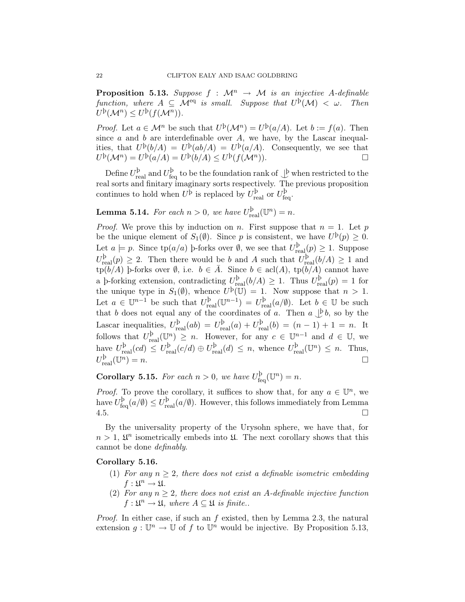**Proposition 5.13.** Suppose  $f : \mathcal{M}^n \to \mathcal{M}$  is an injective A-definable function, where  $A \subseteq \mathcal{M}^{eq}$  is small. Suppose that  $U^{\mathrm{b}}(\mathcal{M}) < \omega$ . Then  $U^{\rm b}(\mathcal{M}^n) \leq U^{\rm b}(f(\mathcal{M}^n)).$ 

*Proof.* Let  $a \in \mathcal{M}^n$  be such that  $U^{\mathrm{p}}(\mathcal{M}^n) = U^{\mathrm{p}}(a/A)$ . Let  $b := f(a)$ . Then since  $a$  and  $b$  are interdefinable over  $A$ , we have, by the Lascar inequalities, that  $U^{\mathrm{b}}(b/A) = U^{\mathrm{b}}(ab/A) = U^{\mathrm{b}}(a/A)$ . Consequently, we see that  $U^{\rm b}(\mathcal{M}^n)=U^{\rm b}(a/A)=U^{\rm b}(b/A)\leq U^{\rm b}(f(\mathcal{M}^n))$  $\Box$ )).

Define  $U_{\text{real}}^{\text{b}}$  and  $U_{\text{feq}}^{\text{b}}$  to be the foundation rank of  $\bigcup_{\text{b}}^{\text{b}}$  when restricted to the real sorts and finitary imaginary sorts respectively. The previous proposition continues to hold when  $U^{\mathrm{b}}$  is replaced by  $U_{\mathrm{real}}^{\mathrm{b}}$  or  $U_{\mathrm{freq}}^{\mathrm{b}}$ .

**Lemma 5.14.** For each  $n > 0$ , we have  $U_{\text{real}}^{\text{p}}(\mathbb{U}^n) = n$ .

*Proof.* We prove this by induction on n. First suppose that  $n = 1$ . Let p be the unique element of  $S_1(\emptyset)$ . Since p is consistent, we have  $U^{\mathrm{b}}(p) \geq 0$ . Let  $a \models p$ . Since  $tp(a/a)$  b-forks over  $\emptyset$ , we see that  $U_{real}^{\mathfrak{b}}(p) \geq 1$ . Suppose  $U_{\text{real}}^{\text{p}}(p) \geq 2$ . Then there would be b and A such that  $U_{\text{real}}^{\text{p}}(b/A) \geq 1$  and  $\text{tp}(b/A)$  þ-forks over  $\emptyset$ , i.e.  $b \in \overline{A}$ . Since  $b \in \text{acl}(A)$ ,  $\text{tp}(b/A)$  cannot have a þ-forking extension, contradicting  $U_{\text{real}}^{\text{p}}(b/A) \geq 1$ . Thus  $U_{\text{real}}^{\text{p}}(p) = 1$  for the unique type in  $S_1(\emptyset)$ , whence  $U^{\mathfrak{b}}(\mathbb{U}) = 1$ . Now suppose that  $n > 1$ . Let  $a \in \mathbb{U}^{n-1}$  be such that  $U_{\text{real}}^{\text{b}}(\mathbb{U}^{n-1}) = U_{\text{real}}^{\text{b}}(a/\emptyset)$ . Let  $b \in \mathbb{U}$  be such that b does not equal any of the coordinates of a. Then  $a \downarrow^b b$ , so by the Lascar inequalities,  $U_{\text{real}}^{\text{b}}(ab) = U_{\text{real}}^{\text{b}}(a) + U_{\text{real}}^{\text{b}}(b) = (n-1) + 1 = n$ . It follows that  $U_{\text{real}}^{\mathfrak{b}}(\mathbb{U}^n) \geq n$ . However, for any  $c \in \mathbb{U}^{n-1}$  and  $d \in \mathbb{U}$ , we have  $U_{\text{real}}^{\text{b}}(cd) \leq U_{\text{real}}^{\text{b}}(c/d) \oplus U_{\text{real}}^{\text{b}}(d) \leq n$ , whence  $U_{\text{real}}^{\text{b}}(\mathbb{U}^n) \leq n$ . Thus,  $U^{\rm b}_{\rm real}(\mathbb U^n)$  $) = n.$ 

**Corollary 5.15.** For each  $n > 0$ , we have  $U_{\text{feq}}^{\text{b}}(\mathbb{U}^n) = n$ .

*Proof.* To prove the corollary, it suffices to show that, for any  $a \in \mathbb{U}^n$ , we have  $U_{\text{feq}}^{\text{p}}(a/\emptyset) \leq U_{\text{real}}^{\text{p}}(a/\emptyset)$ . However, this follows immediately from Lemma  $4.5.$ 

By the universality property of the Urysohn sphere, we have that, for  $n > 1$ ,  $\mathfrak{U}^n$  isometrically embeds into  $\mathfrak{U}$ . The next corollary shows that this cannot be done definably.

## Corollary 5.16.

- (1) For any  $n > 2$ , there does not exist a definable isometric embedding  $f: \mathfrak{U}^n \to \mathfrak{U}.$
- (2) For any  $n \geq 2$ , there does not exist an A-definable injective function  $f: \mathfrak{U}^n \to \mathfrak{U}, \text{ where } A \subseteq \mathfrak{U} \text{ is finite.}.$

*Proof.* In either case, if such an  $f$  existed, then by Lemma 2.3, the natural extension  $g: \mathbb{U}^n \to \mathbb{U}$  of f to  $\mathbb{U}^n$  would be injective. By Proposition 5.13,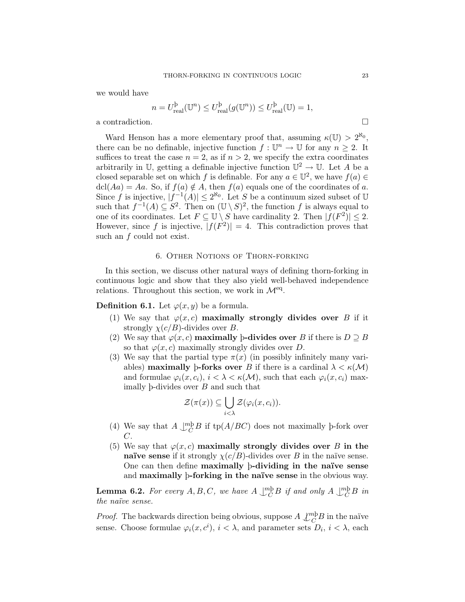we would have

$$
n = U^{\mathrm{b}}_{\mathrm{real}}(\mathbb{U}^n) \le U^{\mathrm{b}}_{\mathrm{real}}(g(\mathbb{U}^n)) \le U^{\mathrm{b}}_{\mathrm{real}}(\mathbb{U}) = 1,
$$

a contradiction.  $\Box$ 

Ward Henson has a more elementary proof that, assuming  $\kappa(\mathbb{U}) > 2^{\aleph_0}$ , there can be no definable, injective function  $f: \mathbb{U}^n \to \mathbb{U}$  for any  $n \geq 2$ . It suffices to treat the case  $n = 2$ , as if  $n > 2$ , we specify the extra coordinates arbitrarily in U, getting a definable injective function  $\mathbb{U}^2 \to \mathbb{U}$ . Let A be a closed separable set on which f is definable. For any  $a \in \mathbb{U}^2$ , we have  $f(a) \in$  $dcl(Aa) = Aa$ . So, if  $f(a) \notin A$ , then  $f(a)$  equals one of the coordinates of a. Since f is injective,  $|f^{-1}(A)| \leq 2^{\aleph_0}$ . Let S be a continuum sized subset of U such that  $f^{-1}(A) \subseteq S^2$ . Then on  $(\mathbb{U} \setminus S)^2$ , the function f is always equal to one of its coordinates. Let  $F \subseteq \mathbb{U} \setminus S$  have cardinality 2. Then  $|f(F^2)| \leq 2$ . However, since f is injective,  $|f(F^2)| = 4$ . This contradiction proves that such an f could not exist.

## 6. Other Notions of Thorn-forking

In this section, we discuss other natural ways of defining thorn-forking in continuous logic and show that they also yield well-behaved independence relations. Throughout this section, we work in  $\mathcal{M}^{\text{eq}}$ .

**Definition 6.1.** Let  $\varphi(x, y)$  be a formula.

- (1) We say that  $\varphi(x, c)$  maximally strongly divides over B if it strongly  $\chi(c/B)$ -divides over B.
- (2) We say that  $\varphi(x, c)$  maximally **b-divides over** B if there is  $D \supseteq B$ so that  $\varphi(x, c)$  maximally strongly divides over D.
- (3) We say that the partial type  $\pi(x)$  (in possibly infinitely many variables) maximally **b-forks over** B if there is a cardinal  $\lambda < \kappa(\mathcal{M})$ and formulae  $\varphi_i(x, c_i)$ ,  $i < \lambda < \kappa(\mathcal{M})$ , such that each  $\varphi_i(x, c_i)$  maximally b-divides over  $B$  and such that

$$
\mathcal{Z}(\pi(x)) \subseteq \bigcup_{i < \lambda} \mathcal{Z}(\varphi_i(x, c_i)).
$$

- (4) We say that  $A \perp^m_C B$  if tp( $A/BC$ ) does not maximally b-fork over  $C$ .
- (5) We say that  $\varphi(x, c)$  maximally strongly divides over B in the naïve sense if it strongly  $\chi(c/B)$ -divides over B in the naïve sense. One can then define maximally þ-dividing in the naïve sense and maximally þ-forking in the naïve sense in the obvious way.

**Lemma 6.2.** For every  $A, B, C$ , we have  $A \perp^m_C B$  if and only  $A \perp^m_C B$  in the naïve sense.

*Proof.* The backwards direction being obvious, suppose  $A \mathcal{L}_C^{m \vdash} B$  in the naïve sense. Choose formulae  $\varphi_i(x, c^i)$ ,  $i < \lambda$ , and parameter sets  $D_i$ ,  $i < \lambda$ , each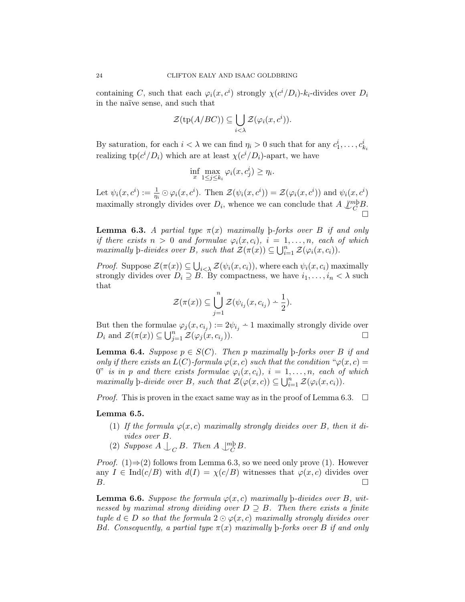containing C, such that each  $\varphi_i(x, c^i)$  strongly  $\chi(c^i/D_i)$ - $k_i$ -divides over  $D_i$ in the naïve sense, and such that

$$
\mathcal{Z}(\text{tp}(A/BC)) \subseteq \bigcup_{i < \lambda} \mathcal{Z}(\varphi_i(x, c^i)).
$$

By saturation, for each  $i < \lambda$  we can find  $\eta_i > 0$  such that for any  $c_1^i, \ldots, c_{k_i}^i$ realizing  $\text{tp}(c^i/D_i)$  which are at least  $\chi(c^i/D_i)$ -apart, we have

$$
\inf_{x} \max_{1 \le j \le k_i} \varphi_i(x, c_j^i) \ge \eta_i.
$$

Let  $\psi_i(x, c^i) := \frac{1}{\eta_i} \odot \varphi_i(x, c^i)$ . Then  $\mathcal{Z}(\psi_i(x, c^i)) = \mathcal{Z}(\varphi_i(x, c^i))$  and  $\psi_i(x, c^i)$ maximally strongly divides over  $D_i$ , whence we can conclude that  $A \mathcal{L}_C^{m \vdash} B$ .  $\Box$ 

**Lemma 6.3.** A partial type  $\pi(x)$  maximally b-forks over B if and only if there exists  $n > 0$  and formulae  $\varphi_i(x, c_i)$ ,  $i = 1, \ldots, n$ , each of which maximally  $\text{p-divides over } B$ , such that  $\mathcal{Z}(\pi(x)) \subseteq \bigcup_{i=1}^n \mathcal{Z}(\varphi_i(x,c_i)).$ 

*Proof.* Suppose  $\mathcal{Z}(\pi(x)) \subseteq \bigcup_{i \leq \lambda} \mathcal{Z}(\psi_i(x,c_i))$ , where each  $\psi_i(x,c_i)$  maximally strongly divides over  $D_i \supseteq B$ . By compactness, we have  $i_1, \ldots, i_n < \lambda$  such that

$$
\mathcal{Z}(\pi(x)) \subseteq \bigcup_{j=1}^n \mathcal{Z}(\psi_{i_j}(x, c_{i_j}) \doteq \frac{1}{2}).
$$

But then the formulae  $\varphi_j(x, c_{i_j}) := 2\psi_{i_j} - 1$  maximally strongly divide over  $D_i$  and  $\mathcal{Z}(\pi(x)) \subseteq \bigcup_{j=1}^n \mathcal{Z}(\varphi_j(x, c_{i_j})).$ 

**Lemma 6.4.** Suppose  $p \in S(C)$ . Then p maximally b-forks over B if and only if there exists an  $L(C)$ -formula  $\varphi(x, c)$  such that the condition " $\varphi(x, c)$  = 0" is in p and there exists formulae  $\varphi_i(x, c_i)$ ,  $i = 1, \ldots, n$ , each of which maximally  $\text{p-divide over } B$ , such that  $\mathcal{Z}(\varphi(x,c)) \subseteq \bigcup_{i=1}^n \mathcal{Z}(\varphi_i(x,c_i)).$ 

*Proof.* This is proven in the exact same way as in the proof of Lemma 6.3.  $\Box$ 

### Lemma 6.5.

- (1) If the formula  $\varphi(x, c)$  maximally strongly divides over B, then it divides over B.
- (2) Suppose  $A \bigcup_C B$ . Then  $A \bigcup_C^{m \vdash} B$ .

*Proof.* (1) $\Rightarrow$ (2) follows from Lemma 6.3, so we need only prove (1). However any  $I \in \text{Ind}(c/B)$  with  $d(I) = \chi(c/B)$  witnesses that  $\varphi(x, c)$  divides over  $B.$ 

**Lemma 6.6.** Suppose the formula  $\varphi(x, c)$  maximally b-divides over B, witnessed by maximal strong dividing over  $D \supseteq B$ . Then there exists a finite tuple  $d \in D$  so that the formula  $2 \odot \varphi(x,c)$  maximally strongly divides over Bd. Consequently, a partial type  $\pi(x)$  maximally b-forks over B if and only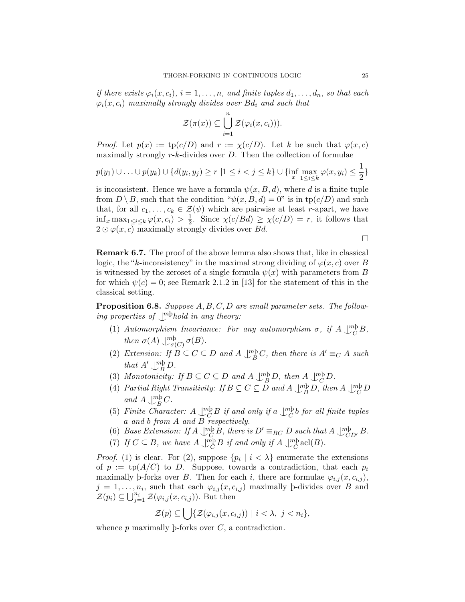if there exists  $\varphi_i(x, c_i)$ ,  $i = 1, \ldots, n$ , and finite tuples  $d_1, \ldots, d_n$ , so that each  $\varphi_i(x, c_i)$  maximally strongly divides over  $Bd_i$  and such that

$$
\mathcal{Z}(\pi(x)) \subseteq \bigcup_{i=1}^n \mathcal{Z}(\varphi_i(x,c_i))).
$$

*Proof.* Let  $p(x) := \text{tp}(c/D)$  and  $r := \chi(c/D)$ . Let k be such that  $\varphi(x, c)$ maximally strongly  $r-k$ -divides over  $D$ . Then the collection of formulae

$$
p(y_1) \cup \ldots \cup p(y_k) \cup \{d(y_i, y_j) \ge r \mid 1 \le i < j \le k\} \cup \{\inf_{x} \max_{1 \le i \le k} \varphi(x, y_i) \le \frac{1}{2}\}
$$

is inconsistent. Hence we have a formula  $\psi(x, B, d)$ , where d is a finite tuple from  $D \setminus B$ , such that the condition " $\psi(x, B, d) = 0$ " is in tp(c/D) and such that, for all  $c_1, \ldots, c_k \in \mathcal{Z}(\psi)$  which are pairwise at least r-apart, we have  $\inf_x \max_{1 \leq i \leq k} \varphi(x, c_i) > \frac{1}{2}$  $\frac{1}{2}$ . Since  $\chi(c/Bd) \geq \chi(c/D) = r$ , it follows that  $2 \odot \varphi(x, c)$  maximally strongly divides over *Bd*.

 $\Box$ 

Remark 6.7. The proof of the above lemma also shows that, like in classical logic, the "k-inconsistency" in the maximal strong dividing of  $\varphi(x, c)$  over B is witnessed by the zeroset of a single formula  $\psi(x)$  with parameters from B for which  $\psi(c) = 0$ ; see Remark 2.1.2 in [13] for the statement of this in the classical setting.

Proposition 6.8. Suppose A, B, C, D are small parameter sets. The following properties of  $\mathcal{L}^{\text{mb}}$  hold in any theory:

- (1) Automorphism Invariance: For any automorphism  $\sigma$ , if  $A \perp_C^{m} B$ , then  $\sigma(A) \bigcup_{\sigma(C)}^{m\mathfrak{b}} \sigma(B)$ .
- (2) Extension: If  $B \subseteq C \subseteq D$  and  $A \bigcup_{B}^{m} C$ , then there is  $A' \equiv_C A$  such that  $A' \perp_B^m D$ .
- (3) Monotonicity: If  $B \subseteq C \subseteq D$  and  $A \bigcup_{B}^{m} D$ , then  $A \bigcup_{C}^{m} D$ .
- (4) Partial Right Transitivity: If  $B \subseteq C \subseteq D$  and  $A \cup_{B}^{m} D$ , then  $A \cup_{C}^{m} D$ and  $A \bigcup_{B}^{m} C$ .
- (5) Finite Character:  $A \perp^m_C B$  if and only if a  $\perp^m_C b$  for all finite tuples a and b from A and B respectively.
- (6) Base Extension: If  $A \bigcup_{C}^{m} B$ , there is  $D' \equiv_{BC} D$  such that  $A \bigcup_{CD'}^{m} B$ .
- (7) If  $C \subseteq B$ , we have  $A \perp^m_C B$  if and only if  $A \perp^m_C \text{acl}(B)$ .

*Proof.* (1) is clear. For (2), suppose  $\{p_i \mid i \leq \lambda\}$  enumerate the extensions of  $p := \text{tp}(A/C)$  to D. Suppose, towards a contradiction, that each  $p_i$ maximally b-forks over B. Then for each i, there are formulae  $\varphi_{i,j}(x, c_{i,j}),$  $j = 1, \ldots, n_i$ , such that each  $\varphi_{i,j}(x, c_{i,j})$  maximally b-divides over B and  $\mathcal{Z}(p_i) \subseteq \bigcup_{j=1}^{n_i} \mathcal{Z}(\varphi_{i,j}(x,c_{i,j}))$ . But then

$$
\mathcal{Z}(p) \subseteq \bigcup \{ \mathcal{Z}(\varphi_{i,j}(x,c_{i,j})) \mid i < \lambda, \ j < n_i \},
$$

whence  $p$  maximally b-forks over  $C$ , a contradiction.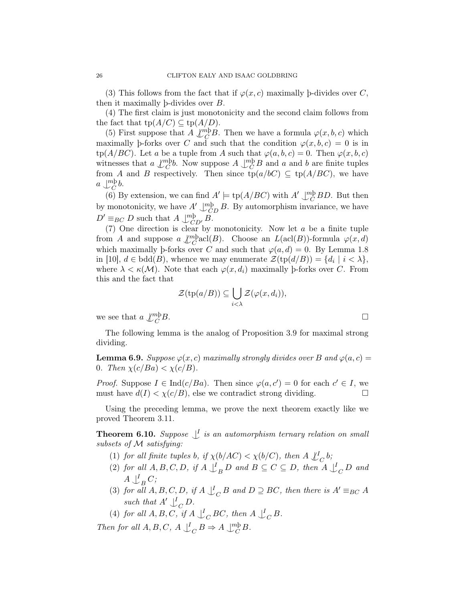(3) This follows from the fact that if  $\varphi(x, c)$  maximally b-divides over C, then it maximally þ-divides over B.

(4) The first claim is just monotonicity and the second claim follows from the fact that  $tp(A/C) \subseteq tp(A/D)$ .

(5) First suppose that  $A \mathcal{L}_C^{m} B$ . Then we have a formula  $\varphi(x, b, c)$  which maximally b-forks over C and such that the condition  $\varphi(x, b, c) = 0$  is in tp( $A/BC$ ). Let a be a tuple from A such that  $\varphi(a, b, c) = 0$ . Then  $\varphi(x, b, c)$ witnesses that  $a \perp^m_{\mathcal{C}} b$ . Now suppose  $A \perp^m_{\mathcal{C}} B$  and a and b are finite tuples from A and B respectively. Then since  $tp(a/bC) \subseteq tp(A/BC)$ , we have  $a \bigcup_{C}^{m} b.$ 

(6) By extension, we can find  $A' \models \text{tp}(A/BC)$  with  $A' \cup_{C}^{m} BD$ . But then by monotonicity, we have  $A' \downarrow^m_{CD} B$ . By automorphism invariance, we have  $D' \equiv_{BC} D$  such that  $A \downarrow^m_{CD'} B$ .

 $(7)$  One direction is clear by monotonicity. Now let  $\alpha$  be a finite tuple from A and suppose  $a \sqrt{\binom{m}{C}} \text{acl}(B)$ . Choose an  $L(\text{acl}(B))$ -formula  $\varphi(x, d)$ which maximally þ-forks over C and such that  $\varphi(a, d) = 0$ . By Lemma 1.8 in [10],  $d \in \text{bdd}(B)$ , whence we may enumerate  $\mathcal{Z}(\text{tp}(d/B)) = \{d_i \mid i < \lambda\},\$ where  $\lambda < \kappa(\mathcal{M})$ . Note that each  $\varphi(x, d_i)$  maximally b-forks over C. From this and the fact that

$$
\mathcal{Z}(\text{tp}(a/B)) \subseteq \bigcup_{i < \lambda} \mathcal{Z}(\varphi(x, d_i)),
$$

we see that  $a \sqrt{\binom{m}{C}}$  $B.$ 

The following lemma is the analog of Proposition 3.9 for maximal strong dividing.

**Lemma 6.9.** Suppose  $\varphi(x, c)$  maximally strongly divides over B and  $\varphi(a, c)$  = 0. Then  $\chi(c/Ba) < \chi(c/B)$ .

*Proof.* Suppose  $I \in Ind(c/Ba)$ . Then since  $\varphi(a, c') = 0$  for each  $c' \in I$ , we must have  $d(I) < \chi(c/B)$ , else we contradict strong dividing.

Using the preceding lemma, we prove the next theorem exactly like we proved Theorem 3.11.

**Theorem 6.10.** Suppose  $\bigcup_{i=1}^{n}$  is an automorphism ternary relation on small subsets of M satisfying:

- (1) for all finite tuples b, if  $\chi(b/AC) < \chi(b/C)$ , then  $A \not\perp_C^I b$ ;
- (2) for all  $A, B, C, D$ , if  $A \bigcup_{B}^{I} D$  and  $B \subseteq C \subseteq D$ , then  $A \bigcup_{C}^{I} D$  and  $A \bigcup_B^I C;$
- (3) for all  $A, B, C, D$ , if  $A \bigcup_{C} B$  and  $D \supseteq BC$ , then there is  $A' \equiv_{BC} A$ such that  $A' \bigcup_C^I D$ .
- (4) for all  $A, B, C$ , if  $A \bigcup_C BC$ , then  $A \bigcup_C B$ .

Then for all  $A, B, C, A \perp_C^{\text{I}} B \Rightarrow A \perp_C^{\text{mb}} B$ .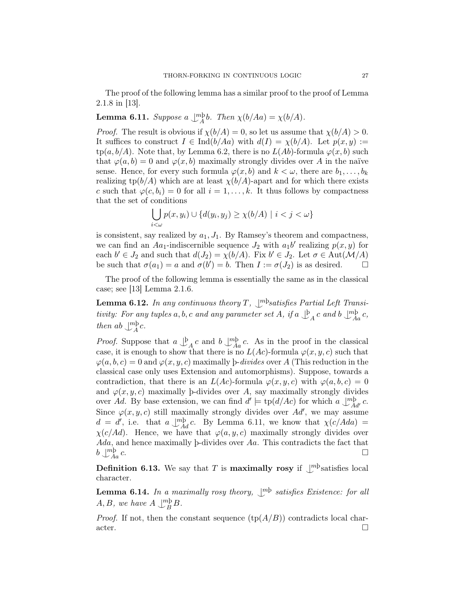The proof of the following lemma has a similar proof to the proof of Lemma 2.1.8 in [13].

# **Lemma 6.11.** Suppose a  $\bigcup_{A}^{m} b$ . Then  $\chi(b/Aa) = \chi(b/A)$ .

*Proof.* The result is obvious if  $\chi(b/A) = 0$ , so let us assume that  $\chi(b/A) > 0$ . It suffices to construct  $I \in \text{Ind}(b/ha)$  with  $d(I) = \chi(b/A)$ . Let  $p(x, y) :=$  $tp(a, b/A)$ . Note that, by Lemma 6.2, there is no  $L(Ab)$ -formula  $\varphi(x, b)$  such that  $\varphi(a, b) = 0$  and  $\varphi(x, b)$  maximally strongly divides over A in the naïve sense. Hence, for every such formula  $\varphi(x, b)$  and  $k < \omega$ , there are  $b_1, \ldots, b_k$ realizing tp( $b/A$ ) which are at least  $\chi(b/A)$ -apart and for which there exists c such that  $\varphi(c, b_i) = 0$  for all  $i = 1, ..., k$ . It thus follows by compactness that the set of conditions

$$
\bigcup_{i < \omega} p(x, y_i) \cup \{d(y_i, y_j) \ge \chi(b/A) \mid i < j < \omega\}
$$

is consistent, say realized by  $a_1, J_1$ . By Ramsey's theorem and compactness, we can find an  $Aa_1$ -indiscernible sequence  $J_2$  with  $a_1b'$  realizing  $p(x, y)$  for each  $b' \in J_2$  and such that  $d(J_2) = \chi(b/A)$ . Fix  $b' \in J_2$ . Let  $\sigma \in \text{Aut}(\mathcal{M}/A)$ be such that  $\sigma(a_1) = a$  and  $\sigma(b') = b$ . Then  $I := \sigma(J_2)$  is as desired.

The proof of the following lemma is essentially the same as in the classical case; see [13] Lemma 2.1.6.

**Lemma 6.12.** In any continuous theory T,  $\bigcup^{m}$  satisfies Partial Left Transitivity: For any tuples a, b, c and any parameter set A, if  $a \nightharpoonup^{\text{b}}_{A} c$  and  $b \nightharpoonup^{\text{mb}}_{Aa} c$ , then ab  $\bigcup_{A}^{m}c$ .

*Proof.* Suppose that  $a \bigcup_{A}^{b} c$  and  $b \bigcup_{A}^{m} c$ . As in the proof in the classical case, it is enough to show that there is no  $L(Ac)$ -formula  $\varphi(x, y, c)$  such that  $\varphi(a, b, c) = 0$  and  $\varphi(x, y, c)$  maximally b-divides over A (This reduction in the classical case only uses Extension and automorphisms). Suppose, towards a contradiction, that there is an  $L(Ac)$ -formula  $\varphi(x, y, c)$  with  $\varphi(a, b, c) = 0$ and  $\varphi(x, y, c)$  maximally b-divides over A, say maximally strongly divides over Ad. By base extension, we can find  $d' \models \text{tp}(d/Ac)$  for which  $a \bigcup_{Ad'}^{\text{mb}} c$ . Since  $\varphi(x, y, c)$  still maximally strongly divides over Ad', we may assume  $d = d'$ , i.e. that  $a \perp_{Ad}^{mb} c$ . By Lemma 6.11, we know that  $\chi(c/Ada)$  =  $\chi(c/Ad)$ . Hence, we have that  $\varphi(a, y, c)$  maximally strongly divides over Ada, and hence maximally þ-divides over Aa. This contradicts the fact that  $b\perp^m h$  $\bigcup_{Aa}^{m}c.$ 

**Definition 6.13.** We say that T is **maximally rosy** if  $\mathcal{L}^{\text{mb}}$  satisfies local character.

**Lemma 6.14.** In a maximally rosy theory,  $\mathcal{L}^{\text{mb}}$  satisfies Existence: for all  $A, B$ , we have  $A \bigcup_{B}^{m} B$ .

*Proof.* If not, then the constant sequence  $(\text{tp}(A/B))$  contradicts local char- $\alpha$  acter.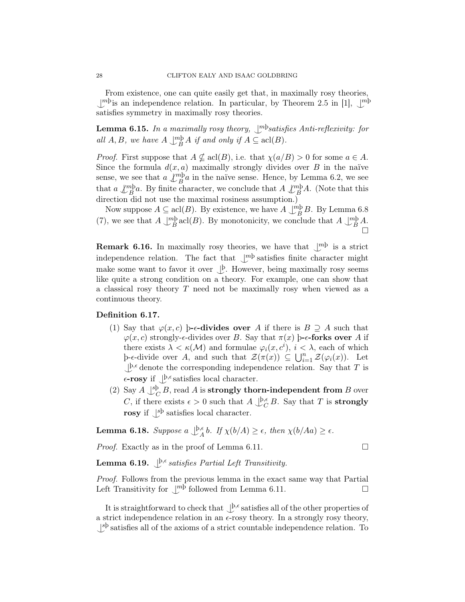From existence, one can quite easily get that, in maximally rosy theories,  $\bigcup_{n=0}^{\infty}$  is an independence relation. In particular, by Theorem 2.5 in [1],  $\bigcup_{n=0}^{\infty}$ satisfies symmetry in maximally rosy theories.

**Lemma 6.15.** In a maximally rosy theory,  $\int_{0}^{\infty}$  satisfies Anti-reflexivity: for all  $A, B$ , we have  $A \bigcup_{B}^{m} A$  if and only if  $A \subseteq \operatorname{acl}(B)$ .

*Proof.* First suppose that  $A \nsubseteq \text{acl}(B)$ , i.e. that  $\chi(a/B) > 0$  for some  $a \in A$ . Since the formula  $d(x, a)$  maximally strongly divides over B in the naïve sense, we see that  $a \mathcal{L}_B^{m}$  in the naïve sense. Hence, by Lemma 6.2, we see that  $a \mathcal{L}_B^{m \mathbf{b}} a$ . By finite character, we conclude that  $A \mathcal{L}_B^{m \mathbf{b}} A$ . (Note that this direction did not use the maximal rosiness assumption.)

Now suppose  $A \subseteq \text{acl}(B)$ . By existence, we have  $A \bigcup_{B}^{m} B$ . By Lemma 6.8 (7), we see that  $A \bigcup_{B}^{m} \text{acl}(B)$ . By monotonicity, we conclude that  $A \bigcup_{B}^{m} A$ .  $\Box$ 

**Remark 6.16.** In maximally rosy theories, we have that  $\mathcal{L}^{m}$  is a strict independence relation. The fact that  $\bigcup^{mb}$  satisfies finite character might make some want to favor it over  $\bigcup_{\alpha=0}^{\infty}$ . However, being maximally rosy seems like quite a strong condition on a theory. For example, one can show that a classical rosy theory  $T$  need not be maximally rosy when viewed as a continuous theory.

#### Definition 6.17.

- (1) Say that  $\varphi(x, c)$  **b-e-divides over** A if there is  $B \supseteq A$  such that  $\varphi(x, c)$  strongly- $\epsilon$ -divides over B. Say that  $\pi(x)$  b- $\epsilon$ -forks over A if there exists  $\lambda < \kappa(\mathcal{M})$  and formulae  $\varphi_i(x, c^i)$ ,  $i < \lambda$ , each of which  $\beta$ -*ε*-divide over *A*, and such that  $\mathcal{Z}(\pi(x))$  ⊆  $\bigcup_{i=1}^{n} \mathcal{Z}(\varphi_i(x))$ . Let  $\bigcup_{\alpha} P_{\alpha} \in \mathcal{P}$  denote the corresponding independence relation. Say that T is  $\epsilon$ -rosy if  $\bigcup_{\epsilon}^{\beta,\epsilon}$  satisfies local character.
- (2) Say  $A \bigcup_{C}^{\text{sb}} B$ , read A is strongly thorn-independent from B over C, if there exists  $\epsilon > 0$  such that  $A \bigcup_{C}^{\beta,\epsilon} B$ . Say that T is **strongly** rosy if  $\bigcup^{\text{s}b}$  satisfies local character.

**Lemma 6.18.** Suppose  $a \bigcup_{A}^{b,\epsilon} b$ . If  $\chi(b/A) \geq \epsilon$ , then  $\chi(b/Aa) \geq \epsilon$ .

*Proof.* Exactly as in the proof of Lemma 6.11.  $\Box$ 

**Lemma 6.19.**  $\bigcup_{k}^{b,\epsilon}$  satisfies Partial Left Transitivity.

Proof. Follows from the previous lemma in the exact same way that Partial Left Transitivity for  $\mathbb{L}^{m\bar{p}}$  followed from Lemma 6.11.

It is straightforward to check that  $\bigcup_{\beta,\epsilon}$  satisfies all of the other properties of a strict independence relation in an  $\epsilon$ -rosy theory. In a strongly rosy theory,  $\bigcup^{sb}$  satisfies all of the axioms of a strict countable independence relation. To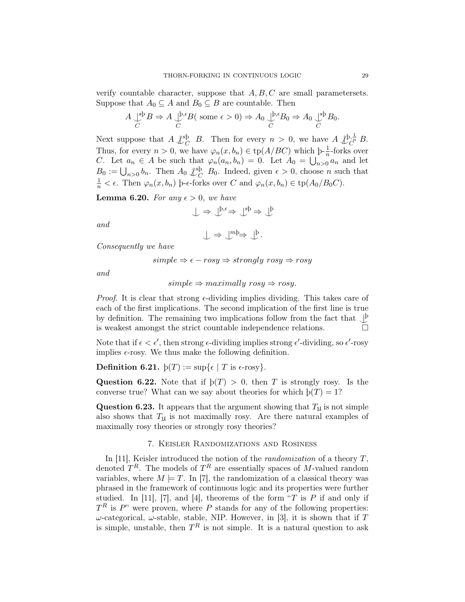verify countable character, suppose that  $A, B, C$  are small parametersets. Suppose that  $A_0 \subseteq A$  and  $B_0 \subseteq B$  are countable. Then

$$
A \underset{C}{\downarrow^{sb}} B \Rightarrow A \underset{C}{\downarrow^{b,e}} B \text{ ( some } \epsilon > 0 \text{)} \Rightarrow A_0 \underset{C}{\downarrow^{b,e}} B_0 \Rightarrow A_0 \underset{C}{\downarrow^{sb}} B_0.
$$

Next suppose that  $A \nsubseteq_C^{\text{sb}} B$ . Then for every  $n > 0$ , we have  $A \nsubseteq_C^{\text{b}, \frac{1}{n}} B$ . Thus, for every  $n > 0$ , we have  $\varphi_n(x, b_n) \in \text{tp}(A/BC)$  which  $\frac{1}{n}$ -forks over C. Let  $a_n \in A$  be such that  $\varphi_n(a_n, b_n) = 0$ . Let  $A_0 = \bigcup_{n>0} a_n$  and let  $B_0 := \bigcup_{n>0} b_n$ . Then  $A_0 \not\perp_C^{sb} B_0$ . Indeed, given  $\epsilon > 0$ , choose n such that  $\frac{1}{n} < \epsilon$ . Then  $\varphi_n(x, b_n)$  b- $\epsilon$ -forks over C and  $\varphi_n(x, b_n) \in \text{tp}(A_0/B_0C)$ .

**Lemma 6.20.** For any  $\epsilon > 0$ , we have

$$
\textstyle\bigcup\Rightarrow\textstyle\bigcup^{b,\varepsilon}\Rightarrow\textstyle\bigcup^{sb}\Rightarrow\textstyle\bigcup^{b}
$$

and

$$
\bigcup \Rightarrow \bigcup^{m} \Rightarrow \bigcup^{p}.
$$

Consequently we have

 $simple \Rightarrow \epsilon - rosy \Rightarrow strongly\; rosy \Rightarrow rosy$ 

and

$$
simple \Rightarrow maximally\;rosy \Rightarrow rosy.
$$

*Proof.* It is clear that strong  $\epsilon$ -dividing implies dividing. This takes care of each of the first implications. The second implication of the first line is true by definition. The remaining two implications follow from the fact that  $\bigcup_{n=1}^{\infty}$ is weakest amongst the strict countable independence relations.  $\Box$ 

Note that if  $\epsilon < \epsilon'$ , then strong  $\epsilon$ -dividing implies strong  $\epsilon'$ -dividing, so  $\epsilon'$ -rosy implies  $\epsilon$ -rosy. We thus make the following definition.

**Definition 6.21.**  $p(T) := \sup\{\epsilon \mid T \text{ is } \epsilon\text{-rosy}\}.$ 

Question 6.22. Note that if  $p(T) > 0$ , then T is strongly rosy. Is the converse true? What can we say about theories for which  $p(T) = 1$ ?

**Question 6.23.** It appears that the argument showing that  $T_{\mathfrak{U}}$  is not simple also shows that  $T_{\mathfrak{U}}$  is not maximally rosy. Are there natural examples of maximally rosy theories or strongly rosy theories?

## 7. Keisler Randomizations and Rosiness

In [11], Keisler introduced the notion of the *randomization* of a theory  $T$ , denoted  $T^R$ . The models of  $T^R$  are essentially spaces of M-valued random variables, where  $M \models T$ . In [7], the randomization of a classical theory was phrased in the framework of continuous logic and its properties were further studied. In [11], [7], and [4], theorems of the form "T is P if and only if  $T<sup>R</sup>$  is P" were proven, where P stands for any of the following properties:  $ω$ -categorical,  $ω$ -stable, stable, NIP. However, in [3], it is shown that if T is simple, unstable, then  $T<sup>R</sup>$  is not simple. It is a natural question to ask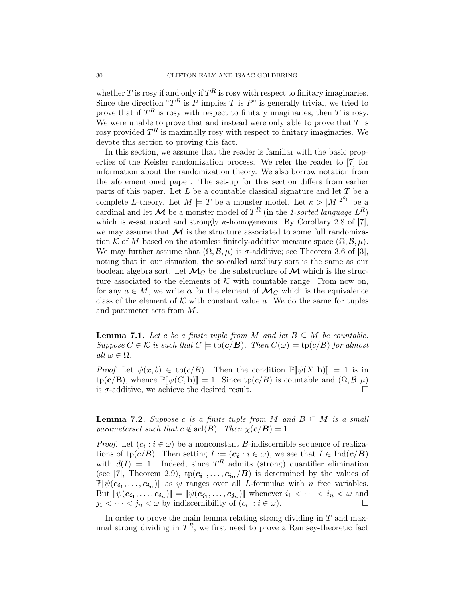whether T is rosy if and only if  $T^R$  is rosy with respect to finitary imaginaries. Since the direction " $T^R$  is P implies T is P" is generally trivial, we tried to prove that if  $T^R$  is rosy with respect to finitary imaginaries, then T is rosy. We were unable to prove that and instead were only able to prove that  $T$  is rosy provided  $T<sup>R</sup>$  is maximally rosy with respect to finitary imaginaries. We devote this section to proving this fact.

In this section, we assume that the reader is familiar with the basic properties of the Keisler randomization process. We refer the reader to [7] for information about the randomization theory. We also borrow notation from the aforementioned paper. The set-up for this section differs from earlier parts of this paper. Let  $L$  be a countable classical signature and let  $T$  be a complete L-theory. Let  $M \models T$  be a monster model. Let  $\kappa > |M|^{2^{\aleph_0}}$  be a cardinal and let  $\mathcal M$  be a monster model of  $T^R$  (in the 1-sorted language  $L^R$ ) which is  $\kappa$ -saturated and strongly  $\kappa$ -homogeneous. By Corollary 2.8 of [7], we may assume that  $\mathcal M$  is the structure associated to some full randomization K of M based on the atomless finitely-additive measure space  $(\Omega, \mathcal{B}, \mu)$ . We may further assume that  $(\Omega, \mathcal{B}, \mu)$  is  $\sigma$ -additive; see Theorem 3.6 of [3], noting that in our situation, the so-called auxiliary sort is the same as our boolean algebra sort. Let  $\mathcal{M}_C$  be the substructure of  $\mathcal M$  which is the structure associated to the elements of  $K$  with countable range. From now on, for any  $a \in M$ , we write **a** for the element of  $\mathcal{M}_C$  which is the equivalence class of the element of  $K$  with constant value a. We do the same for tuples and parameter sets from M.

**Lemma 7.1.** Let c be a finite tuple from M and let  $B \subseteq M$  be countable. Suppose  $C \in \mathcal{K}$  is such that  $C \models \text{tp}(c/B)$ . Then  $C(\omega) \models \text{tp}(c/B)$  for almost all  $\omega \in \Omega$ .

*Proof.* Let  $\psi(x, b) \in \text{tp}(c/B)$ . Then the condition  $\mathbb{P}[\psi(X, b)] = 1$  is in tp(**c**/**B**), whence  $\mathbb{P}[\![\psi(C, \mathbf{b})]\!] = 1$ . Since tp(*c*/*B*) is countable and  $(\Omega, \mathcal{B}, \mu)$  is  $\sigma$ -additive, we achieve the desired result. is  $\sigma$ -additive, we achieve the desired result.

**Lemma 7.2.** Suppose c is a finite tuple from M and  $B \subseteq M$  is a small parameterset such that  $c \notin \text{acl}(B)$ . Then  $\chi(c/B) = 1$ .

*Proof.* Let  $(c_i : i \in \omega)$  be a nonconstant *B*-indiscernible sequence of realizations of tp(c/B). Then setting  $I := (c_i : i \in \omega)$ , we see that  $I \in Ind(c/B)$ with  $d(I) = 1$ . Indeed, since  $T<sup>R</sup>$  admits (strong) quantifier elimination (see [7], Theorem 2.9),  $tp(c_{i_1},...,c_{i_n}/B)$  is determined by the values of  $\mathbb{P}[\psi(\mathbf{c}_{i_1},...,\mathbf{c}_{i_n})]$  as  $\psi$  ranges over all *L*-formulae with *n* free variables.<br>But  $[\psi(\mathbf{c}_{i_1},...,\mathbf{c}_{i_n})] = [\psi(\mathbf{c}_{i_1},...,\mathbf{c}_{i_n})]$  whenever  $i \leq \omega \leq i \leq \omega$  and But  $[\![\psi(c_{i_1},...,c_{i_n})]\!] = [\![\psi(c_{j_1},...,c_{j_n})]\!]$  whenever  $i_1 < \cdots < i_n < \omega$  and  $j_1 < \cdots < j_n < \omega$  by indiscernibility of  $(c_i : i \in \omega)$ .

In order to prove the main lemma relating strong dividing in  $T$  and maximal strong dividing in  $T^R$ , we first need to prove a Ramsey-theoretic fact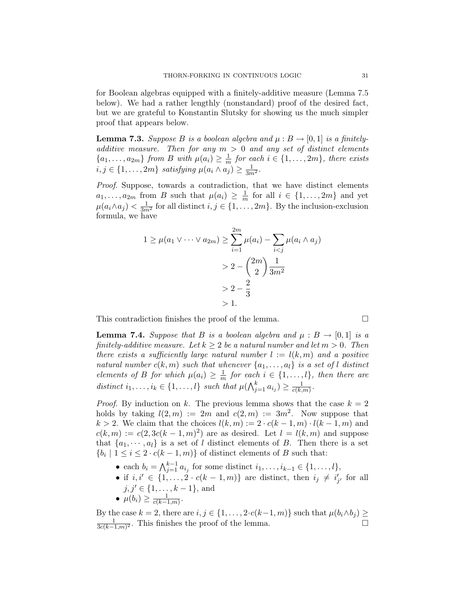for Boolean algebras equipped with a finitely-additive measure (Lemma 7.5 below). We had a rather lengthly (nonstandard) proof of the desired fact, but we are grateful to Konstantin Slutsky for showing us the much simpler proof that appears below.

**Lemma 7.3.** Suppose B is a boolean algebra and  $\mu : B \rightarrow [0, 1]$  is a finitelyadditive measure. Then for any  $m > 0$  and any set of distinct elements  ${a_1, \ldots, a_{2m}}$  from B with  $\mu(a_i) \geq \frac{1}{m}$  $\frac{1}{m}$  for each  $i \in \{1, \ldots, 2m\}$ , there exists  $i, j \in \{1, \ldots, 2m\}$  satisfying  $\mu(a_i \wedge a_j) \geq \frac{1}{3m^2}$ .

Proof. Suppose, towards a contradiction, that we have distinct elements  $a_1, \ldots, a_{2m}$  from B such that  $\mu(a_i) \geq \frac{1}{m}$  $\frac{1}{m}$  for all  $i \in \{1, \ldots, 2m\}$  and yet  $\mu(a_i \wedge a_j) < \frac{1}{3m^2}$  for all distinct  $i, j \in \{1, \ldots, 2m\}$ . By the inclusion-exclusion formula, we have

$$
1 \ge \mu(a_1 \vee \dots \vee a_{2m}) \ge \sum_{i=1}^{2m} \mu(a_i) - \sum_{i < j} \mu(a_i \wedge a_j)
$$

$$
> 2 - {2m \choose 2} \frac{1}{3m^2}
$$

$$
> 2 - \frac{2}{3}
$$

$$
> 1.
$$

This contradiction finishes the proof of the lemma.

**Lemma 7.4.** Suppose that B is a boolean algebra and  $\mu : B \to [0,1]$  is a finitely-additive measure. Let  $k \geq 2$  be a natural number and let  $m > 0$ . Then there exists a sufficiently large natural number  $l := l(k, m)$  and a positive natural number  $c(k, m)$  such that whenever  $\{a_1, \ldots, a_l\}$  is a set of l distinct elements of B for which  $\mu(a_i) \geq \frac{1}{n}$  $\frac{1}{m}$  for each  $i \in \{1, \ldots, l\}$ , then there are distinct  $i_1, \ldots, i_k \in \{1, \ldots, l\}$  such that  $\mu(\bigwedge_{j=1}^k a_{i_j}) \geq \frac{1}{c(k, k)}$  $\frac{1}{c(k,m)}$ .

*Proof.* By induction on k. The previous lemma shows that the case  $k = 2$ holds by taking  $l(2, m) := 2m$  and  $c(2, m) := 3m^2$ . Now suppose that  $k > 2$ . We claim that the choices  $l(k, m) := 2 \cdot c(k - 1, m) \cdot l(k - 1, m)$  and  $c(k,m) := c(2,3c(k-1,m)^2)$  are as desired. Let  $l = l(k,m)$  and suppose that  $\{a_1, \dots, a_l\}$  is a set of l distinct elements of B. Then there is a set  $\{b_i \mid 1 \leq i \leq 2 \cdot c(k-1,m)\}\$  of distinct elements of B such that:

- each  $b_i = \bigwedge_{j=1}^{k-1} a_{i_j}$  for some distinct  $i_1, \ldots, i_{k-1} \in \{1, \ldots, l\},\$
- if  $i, i' \in \{1, \ldots, 2 \cdot c(k-1,m)\}\$  are distinct, then  $i_j \neq i'_{j'}$  for all  $j, j' \in \{1, \ldots, k-1\}$ , and
- $\mu(b_i) \geq \frac{1}{c(k-1)}$  $\frac{1}{c(k-1,m)}$ .

By the case  $k = 2$ , there are  $i, j \in \{1, \ldots, 2 \cdot c(k-1, m)\}\$  such that  $\mu(b_i \wedge b_j) \ge$ 1  $\frac{1}{3c(k-1,m)^2}$ . This finishes the proof of the lemma.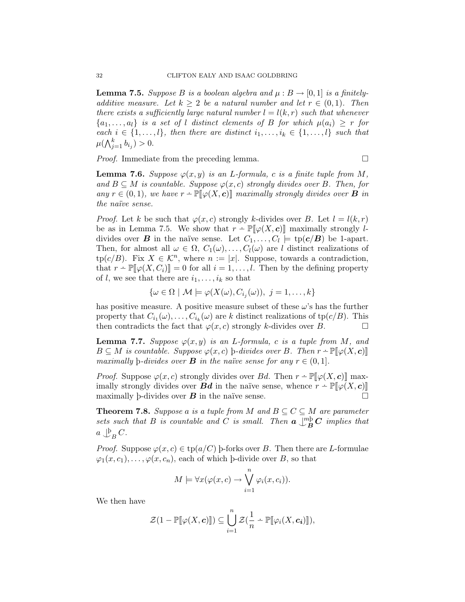**Lemma 7.5.** Suppose B is a boolean algebra and  $\mu : B \to [0, 1]$  is a finitelyadditive measure. Let  $k \geq 2$  be a natural number and let  $r \in (0,1)$ . Then there exists a sufficiently large natural number  $l = l(k, r)$  such that whenever  ${a_1, \ldots, a_l}$  is a set of l distinct elements of B for which  $\mu(a_i) \geq r$  for each  $i \in \{1, \ldots, l\}$ , then there are distinct  $i_1, \ldots, i_k \in \{1, \ldots, l\}$  such that  $\mu(\bigwedge_{j=1}^k b_{i_j}) > 0.$ 

*Proof.* Immediate from the preceding lemma.  $\Box$ 

**Lemma 7.6.** Suppose  $\varphi(x, y)$  is an L-formula, c is a finite tuple from M, and  $B \subseteq M$  is countable. Suppose  $\varphi(x, c)$  strongly divides over B. Then, for any  $r \in (0,1)$ , we have  $r - \mathbb{P}[\varphi(X, c)]$  maximally strongly divides over **B** in the naïve sense.

*Proof.* Let k be such that  $\varphi(x, c)$  strongly k-divides over B. Let  $l = l(k, r)$ be as in Lemma 7.5. We show that  $r - \mathbb{P}[\varphi(X, c)]$  maximally strongly ldivides over **B** in the naïve sense. Let  $C_1, \ldots, C_l \models \text{tp}(\mathbf{c}/\mathbf{B})$  be 1-apart. Then, for almost all  $\omega \in \Omega$ ,  $C_1(\omega), \ldots, C_l(\omega)$  are l distinct realizations of tp(c/B). Fix  $X \in \mathcal{K}^n$ , where  $n := |x|$ . Suppose, towards a contradiction, that  $r - \mathbb{P}[\varphi(X, C_i)] = 0$  for all  $i = 1, ..., l$ . Then by the defining property of l, we see that there are  $i_1, \ldots, i_k$  so that

$$
\{\omega \in \Omega \mid \mathcal{M} \models \varphi(X(\omega), C_{i_j}(\omega)), \ j = 1, \dots, k\}
$$

has positive measure. A positive measure subset of these  $\omega$ 's has the further property that  $C_{i_1}(\omega), \ldots, C_{i_k}(\omega)$  are k distinct realizations of tp $(c/B)$ . This then contradicts the fact that  $\varphi(x, c)$  strongly k-divides over B.

**Lemma 7.7.** Suppose  $\varphi(x, y)$  is an *L*-formula, c is a tuple from *M*, and  $B \subseteq M$  is countable. Suppose  $\varphi(x, c)$  b-divides over B. Then  $r \doteq \mathbb{P}[\varphi(X, c)]$ maximally *b*-divides over **B** in the naïve sense for any  $r \in (0, 1]$ .

*Proof.* Suppose  $\varphi(x, c)$  strongly divides over Bd. Then  $r - \mathbb{P}[\varphi(X, c)]$  maximally strongly divides over **Bd** in the naïve sense, whence  $r \text{ } \text{ } \text{ } \text{ } \mathbb{P}\llbracket \varphi(X, \textbf{c})\rrbracket$ maximally b-divides over  $\boldsymbol{B}$  in the naïve sense.

**Theorem 7.8.** Suppose a is a tuple from M and  $B \subseteq C \subseteq M$  are parameter sets such that B is countable and C is small. Then  $\mathbf{a} \perp_{\mathbf{B}}^{\text{mb}} \mathbf{C}$  implies that  $a \bigcup_{B}^{b} C.$ 

*Proof.* Suppose  $\varphi(x, c) \in \text{tp}(a/C)$  þ-forks over B. Then there are L-formulae  $\varphi_1(x, c_1), \ldots, \varphi(x, c_n)$ , each of which b-divide over B, so that

$$
M \models \forall x (\varphi(x, c) \rightarrow \bigvee_{i=1}^{n} \varphi_i(x, c_i)).
$$

We then have

$$
\mathcal{Z}(1-\mathbb{P}[\![\varphi(X,\boldsymbol{c})]\!])\subseteq\bigcup_{i=1}^n\mathcal{Z}(\frac{1}{n}-\mathbb{P}[\![\varphi_i(X,\boldsymbol{c_i})]\!]),
$$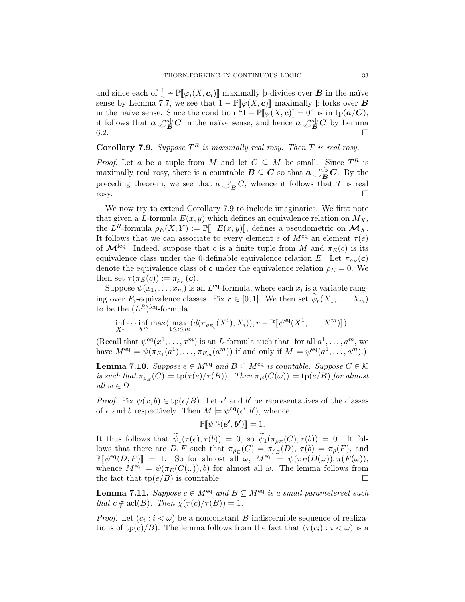and since each of  $\frac{1}{n} - \mathbb{P}[\varphi_i(X, c_i)]$  maximally b-divides over **B** in the naïve sense by Lemma 7.7, we see that  $1 - \mathbb{P}[\![\varphi(X, c)]\!]$  maximally þ-forks over **B** in the naïve sense. Since the condition "1 –  $\mathbb{P}[\varphi(X, c)] = 0$ " is in tp( $a/C$ ), it follows that  $a \sqrt{\frac{m}{B}}C$  in the naïve sense, and hence  $a \sqrt{\frac{m}{B}}C$  by Lemma  $6.2.$ 

# **Corollary 7.9.** Suppose  $T^R$  is maximally real rosy. Then T is real rosy.

*Proof.* Let a be a tuple from M and let  $C \subseteq M$  be small. Since  $T^R$  is maximally real rosy, there is a countable  $B \subseteq C$  so that  $a \bigcup_{B}^{m} C$ . By the preceding theorem, we see that  $a \bigcup_{B}^{b} C$ , whence it follows that T is real  $\Box$  rosy.

We now try to extend Corollary 7.9 to include imaginaries. We first note that given a L-formula  $E(x, y)$  which defines an equivalence relation on  $M_X$ , the  $\overline{L}^R$ -formula  $\rho_E(X, Y) := \mathbb{P}[\neg E(x, y)]$ , defines a pseudometric on  $\mathcal{M}_X$ .<br>It follows that we can associate to every element e of  $M_{\infty}^{\text{eq}}$  an element  $\tau(e)$ . It follows that we can associate to every element e of  $M^{eq}$  an element  $\tau(e)$ of  $\mathcal{M}^{\text{feq}}$ . Indeed, suppose that c is a finite tuple from M and  $\pi_E(c)$  is its equivalence class under the 0-definable equivalence relation E. Let  $\pi_{\rho_E}(c)$ denote the equivalence class of **c** under the equivalence relation  $\rho_E = 0$ . We then set  $\tau(\pi_E(c)) := \pi_{\rho_E}(c)$ .

Suppose  $\psi(x_1, \ldots, x_m)$  is an  $L^{eq}$ -formula, where each  $x_i$  is a variable ranging over  $E_i$ -equivalence classes. Fix  $r \in [0,1]$ . We then set  $\widetilde{\psi}_r(X_1,\ldots,X_m)$ to be the  $(L^R)$ <sup>feq</sup>-formula

$$
\inf_{X^1} \cdots \inf_{X^m} \max(\max_{1 \le i \le m} (d(\pi_{\rho_{E_i}}(X^i), X_i)), r \doteq \mathbb{P}[\![\psi^{\text{eq}}(X^1, \ldots, X^m)]\!]).
$$

(Recall that  $\psi^{\text{eq}}(x^1, \ldots, x^m)$  is an *L*-formula such that, for all  $a^1, \ldots, a^m$ , we have  $M^{\text{eq}} \models \psi(\pi_{E_1}(a^1), \ldots, \pi_{E_m}(a^m))$  if and only if  $M \models \psi^{\text{eq}}(a^1, \ldots, a^m)$ .)

**Lemma 7.10.** Suppose  $e \in M^{eq}$  and  $B \subseteq M^{eq}$  is countable. Suppose  $C \in \mathcal{K}$ is such that  $\pi_{\rho_E}(C) \models \text{tp}(\tau(e)/\tau(B))$ . Then  $\pi_E(C(\omega)) \models \text{tp}(e/B)$  for almost all  $\omega \in \Omega$ .

*Proof.* Fix  $\psi(x, b) \in \text{tp}(e/B)$ . Let e' and b' be representatives of the classes of e and b respectively. Then  $M \models \psi^{\text{eq}}(e', b')$ , whence

$$
\mathbb{P}[\![\psi^{\text{eq}}(\boldsymbol{e'},\boldsymbol{b'})]\!]=1.
$$

It thus follows that  $\psi_1(\tau(e), \tau(b)) = 0$ , so  $\psi_1(\pi_{\rho_E}(C), \tau(b)) = 0$ . It follows that there are  $D, F$  such that  $\pi_{\rho_E}(C) = \pi_{\rho_E}(D), \tau(b) = \pi_{\rho}(F)$ , and  $\mathbb{P}[\psi^{\text{eq}}(D,F)] = 1.$  So for almost all  $\omega$ ,  $M^{\text{eq}} \models \psi(\pi_E(D(\omega)), \pi(F(\omega)),$ <br>whomes  $M^{\text{eq}} \models \psi(\pi_E(C(\omega)))$  b) for almost all  $\omega$ . The lamma follows from whence  $M^{\text{eq}} \models \psi(\pi_E(C(\omega)), b)$  for almost all  $\omega$ . The lemma follows from the fact that  $tp(e/B)$  is countable.

**Lemma 7.11.** Suppose  $c \in M^{\text{eq}}$  and  $B \subseteq M^{\text{eq}}$  is a small parameterset such that  $c \notin \operatorname{acl}(B)$ . Then  $\chi(\tau(c)/\tau(B)) = 1$ .

*Proof.* Let  $(c_i : i < \omega)$  be a nonconstant *B*-indiscernible sequence of realizations of tp(c)/B). The lemma follows from the fact that  $(\tau(c_i) : i < \omega)$  is a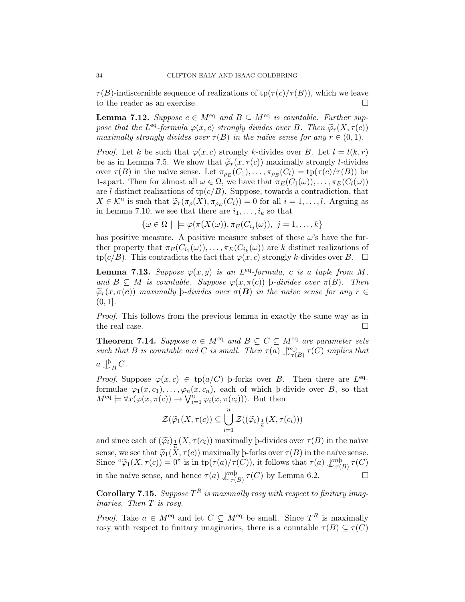$\tau(B)$ -indiscernible sequence of realizations of tp( $\tau(c)/\tau(B)$ ), which we leave to the reader as an exercise.

**Lemma 7.12.** Suppose  $c \in M^{\text{eq}}$  and  $B \subseteq M^{\text{eq}}$  is countable. Further suppose that the  $L^{eq}$ -formula  $\varphi(x, c)$  strongly divides over B. Then  $\widetilde{\varphi}_r(X, \tau(c))$ <br>maximally strongly divides over  $\tau(R)$  in the naive sense for any  $r \in (0, 1)$ maximally strongly divides over  $\tau(B)$  in the naïve sense for any  $r \in (0,1)$ .

*Proof.* Let k be such that  $\varphi(x, c)$  strongly k-divides over B. Let  $l = l(k, r)$ be as in Lemma 7.5. We show that  $\widetilde{\varphi}_r(x,\tau(c))$  maximally strongly *l*-divides over  $\tau(B)$  in the naïve sense. Let  $\pi_{\rho_E}(C_1), \ldots, \pi_{\rho_E}(C_l) \models \text{tp}(\tau(c)/\tau(B))$  be 1-apart. Then for almost all  $\omega \in \Omega$ , we have that  $\pi_E(C_1(\omega)), \ldots, \pi_E(C_l(\omega))$ are l distinct realizations of  $tp(c/B)$ . Suppose, towards a contradiction, that  $X \in \mathcal{K}^n$  is such that  $\widetilde{\varphi}_r(\pi_\rho(X), \pi_{\rho_E}(C_i)) = 0$  for all  $i = 1, ..., l$ . Arguing as in Lemma 7.10, we see that there are  $i_1, \ldots, i_k$  so that

$$
\{\omega \in \Omega \mid \models \varphi(\pi(X(\omega)), \pi_E(C_{i_j}(\omega)), j = 1, \dots, k\}
$$

has positive measure. A positive measure subset of these  $\omega$ 's have the further property that  $\pi_E(C_{i_1}(\omega)), \ldots, \pi_E(C_{i_k}(\omega))$  are k distinct realizations of  $tp(c/B)$ . This contradicts the fact that  $\varphi(x, c)$  strongly k-divides over B.  $\Box$ 

**Lemma 7.13.** Suppose  $\varphi(x, y)$  is an  $L^{eq}$ -formula, c is a tuple from M, and  $B \subseteq M$  is countable. Suppose  $\varphi(x, \pi(c))$  b-divides over  $\pi(B)$ . Then  $\widetilde{\varphi}_r(x,\sigma(\mathbf{c}))$  maximally *b*-divides over  $\sigma(\mathbf{B})$  in the naïve sense for any  $r \in$  $(0, 1].$ 

Proof. This follows from the previous lemma in exactly the same way as in the real case.  $\Box$ 

**Theorem 7.14.** Suppose  $a \in M^{eq}$  and  $B \subseteq C \subseteq M^{eq}$  are parameter sets such that B is countable and C is small. Then  $\tau(a) \perp^{\text{mb}}_{\tau(B)} \tau(C)$  implies that  $a \bigcup_{B}^{b} C.$ 

*Proof.* Suppose  $\varphi(x,c) \in \text{tp}(a/C)$  p-forks over B. Then there are  $L^{eq}$ formulae  $\varphi_1(x, c_1), \ldots, \varphi_n(x, c_n)$ , each of which b-divide over B, so that  $M^{\text{eq}} \models \forall x (\varphi(x, \pi(c)) \rightarrow \bigvee_{i=1}^{n} \varphi_i(x, \pi(c_i))).$  But then

$$
\mathcal{Z}(\widetilde{\varphi}_1(X,\tau(c))\subseteq\bigcup_{i=1}^n\mathcal{Z}((\widetilde{\varphi}_i)_\frac{1}{n}(X,\tau(c_i)))
$$

and since each of  $(\tilde{\varphi}_i)_{\frac{1}{n}}(X, \tau(c_i))$  maximally b-divides over  $\tau(B)$  in the naïve sense, we see that  $\widetilde{\varphi}_1(X, \tau(c))$  maximally b-forks over  $\tau(B)$  in the naïve sense.<br>Since " $\widetilde{\varphi}_1(X, \tau(c)) = 0$ " is in th $(\tau(c)/(\tau(C)))$  it follows that  $\tau(c)$ " Since " $\widetilde{\varphi}_1(X, \tau(c)) = 0$ " is in tp( $\tau(a)/\tau(C)$ ), it follows that  $\tau(a) \downarrow^m_{\tau(B)} \tau(C)$ in the naïve sense, and hence  $\tau(a) \mathcal{L}_{\tau(B)}^{m\mathfrak{b}} \tau(C)$  by Lemma 6.2.

**Corollary 7.15.** Suppose  $T^R$  is maximally rosy with respect to finitary imaginaries. Then T is rosy.

*Proof.* Take  $a \in M^{eq}$  and let  $C \subseteq M^{eq}$  be small. Since  $T^R$  is maximally rosy with respect to finitary imaginaries, there is a countable  $\tau(B) \subseteq \tau(C)$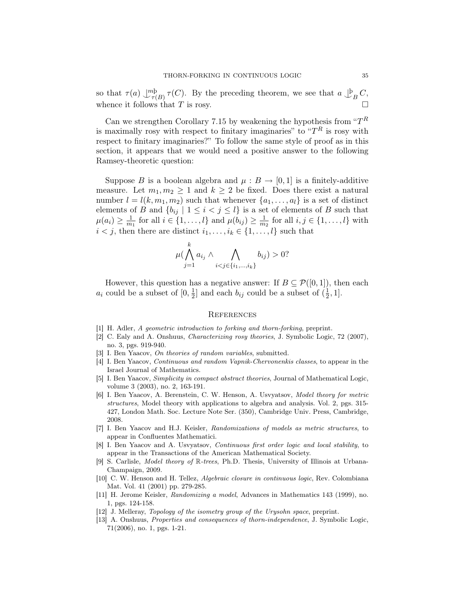so that  $\tau(a) \perp_{\tau(B)}^{\text{mb}} \tau(C)$ . By the preceding theorem, we see that  $a \perp_B^{\text{b}} C$ , whence it follows that  $T$  is rosy.

Can we strengthen Corollary 7.15 by weakening the hypothesis from  $T^R$ is maximally rosy with respect to finitary imaginaries" to " $T<sup>R</sup>$  is rosy with respect to finitary imaginaries?" To follow the same style of proof as in this section, it appears that we would need a positive answer to the following Ramsey-theoretic question:

Suppose B is a boolean algebra and  $\mu : B \to [0, 1]$  is a finitely-additive measure. Let  $m_1, m_2 \geq 1$  and  $k \geq 2$  be fixed. Does there exist a natural number  $l = l(k, m_1, m_2)$  such that whenever  $\{a_1, \ldots, a_l\}$  is a set of distinct elements of B and  $\{b_{ij} \mid 1 \leq i < j \leq l\}$  is a set of elements of B such that  $\mu(a_i) \geq \frac{1}{m}$  $\frac{1}{m_1}$  for all  $i \in \{1, ..., l\}$  and  $\mu(b_{ij}) \geq \frac{1}{m}$  $\frac{1}{m_2}$  for all  $i, j \in \{1, \ldots, l\}$  with  $i < j$ , then there are distinct  $i_1, \ldots, i_k \in \{1, \ldots, l\}$  such that

$$
\mu(\bigwedge_{j=1}^k a_{i_j} \wedge \bigwedge_{i < j \in \{i_1, \dots, i_k\}} b_{ij}) > 0?
$$

However, this question has a negative answer: If  $B \subseteq \mathcal{P}([0,1])$ , then each  $a_i$  could be a subset of  $[0, \frac{1}{2}]$  $\frac{1}{2}$ ] and each  $b_{ij}$  could be a subset of  $(\frac{1}{2})$  $\frac{1}{2}, 1].$ 

#### **REFERENCES**

- [1] H. Adler, A geometric introduction to forking and thorn-forking, preprint.
- [2] C. Ealy and A. Onshuus, Characterizing rosy theories, J. Symbolic Logic, 72 (2007), no. 3, pgs. 919-940.
- [3] I. Ben Yaacov, On theories of random variables, submitted.
- [4] I. Ben Yaacov, Continuous and random Vapnik-Chervonenkis classes, to appear in the Israel Journal of Mathematics.
- [5] I. Ben Yaacov, Simplicity in compact abstract theories, Journal of Mathematical Logic, volume 3 (2003), no. 2, 163-191.
- [6] I. Ben Yaacov, A. Berenstein, C. W. Henson, A. Usvyatsov, Model theory for metric structures, Model theory with applications to algebra and analysis. Vol. 2, pgs. 315- 427, London Math. Soc. Lecture Note Ser. (350), Cambridge Univ. Press, Cambridge, 2008.
- [7] I. Ben Yaacov and H.J. Keisler, Randomizations of models as metric structures, to appear in Confluentes Mathematici.
- [8] I. Ben Yaacov and A. Usvyatsov, Continuous first order logic and local stability, to appear in the Transactions of the American Mathematical Society.
- [9] S. Carlisle, Model theory of R-trees, Ph.D. Thesis, University of Illinois at Urbana-Champaign, 2009.
- [10] C. W. Henson and H. Tellez, Algebraic closure in continuous logic, Rev. Colombiana Mat. Vol. 41 (2001) pp. 279-285.
- [11] H. Jerome Keisler, Randomizing a model, Advances in Mathematics 143 (1999), no. 1, pgs. 124-158.
- [12] J. Melleray, Topology of the isometry group of the Urysohn space, preprint.
- [13] A. Onshuus, Properties and consequences of thorn-independence, J. Symbolic Logic, 71(2006), no. 1, pgs. 1-21.